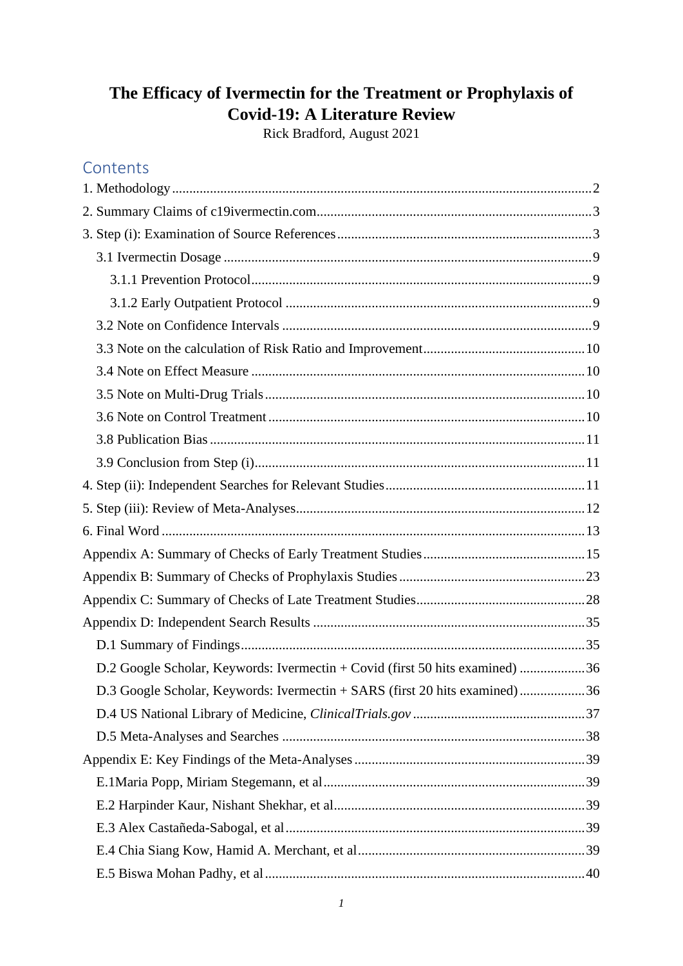# **The Efficacy of Ivermectin for the Treatment or Prophylaxis of Covid-19: A Literature Review**

Rick Bradford, August 2021

## **Contents**

| D.2 Google Scholar, Keywords: Ivermectin + Covid (first 50 hits examined) 36 |  |
|------------------------------------------------------------------------------|--|
| D.3 Google Scholar, Keywords: Ivermectin + SARS (first 20 hits examined)36   |  |
|                                                                              |  |
|                                                                              |  |
|                                                                              |  |
|                                                                              |  |
|                                                                              |  |
|                                                                              |  |
|                                                                              |  |
|                                                                              |  |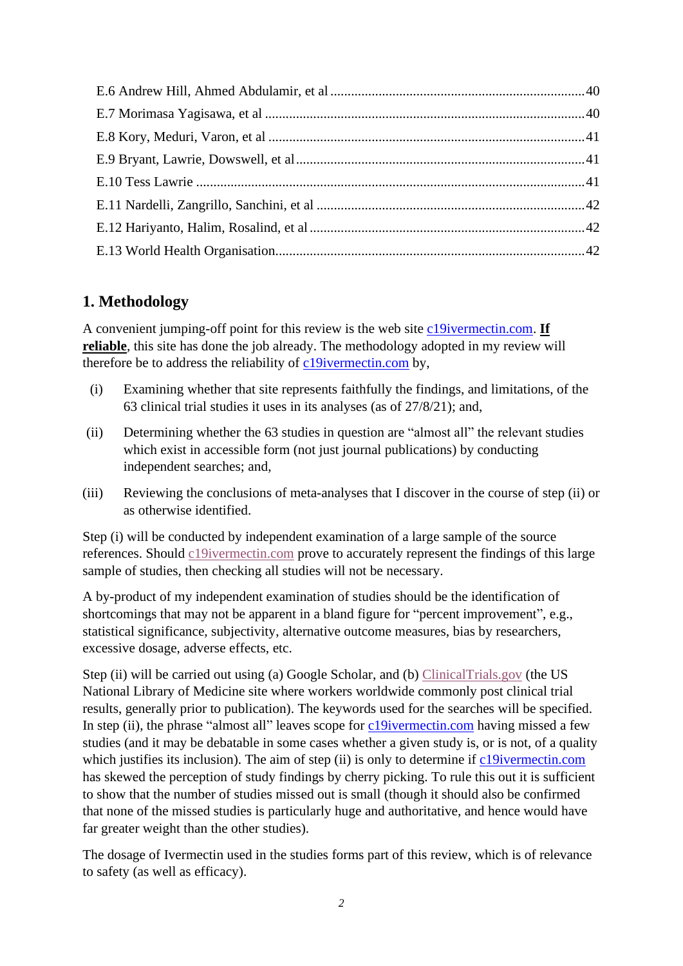## <span id="page-1-0"></span>**1. Methodology**

A convenient jumping-off point for this review is the web site [c19ivermectin.com.](https://c19ivermectin.com/) **If reliable**, this site has done the job already. The methodology adopted in my review will therefore be to address the reliability of [c19ivermectin.com](https://c19ivermectin.com/) by,

- (i) Examining whether that site represents faithfully the findings, and limitations, of the 63 clinical trial studies it uses in its analyses (as of 27/8/21); and,
- (ii) Determining whether the 63 studies in question are "almost all" the relevant studies which exist in accessible form (not just journal publications) by conducting independent searches; and,
- (iii) Reviewing the conclusions of meta-analyses that I discover in the course of step (ii) or as otherwise identified.

Step (i) will be conducted by independent examination of a large sample of the source references. Should [c19ivermectin.com](https://c19ivermectin.com/) prove to accurately represent the findings of this large sample of studies, then checking all studies will not be necessary.

A by-product of my independent examination of studies should be the identification of shortcomings that may not be apparent in a bland figure for "percent improvement", e.g., statistical significance, subjectivity, alternative outcome measures, bias by researchers, excessive dosage, adverse effects, etc.

Step (ii) will be carried out using (a) Google Scholar, and (b) [ClinicalTrials.gov](https://clinicaltrials.gov/) (the US National Library of Medicine site where workers worldwide commonly post clinical trial results, generally prior to publication). The keywords used for the searches will be specified. In step (ii), the phrase "almost all" leaves scope for [c19ivermectin.com](https://c19ivermectin.com/) having missed a few studies (and it may be debatable in some cases whether a given study is, or is not, of a quality which justifies its inclusion). The aim of step (ii) is only to determine if [c19ivermectin.com](https://c19ivermectin.com/) has skewed the perception of study findings by cherry picking. To rule this out it is sufficient to show that the number of studies missed out is small (though it should also be confirmed that none of the missed studies is particularly huge and authoritative, and hence would have far greater weight than the other studies).

The dosage of Ivermectin used in the studies forms part of this review, which is of relevance to safety (as well as efficacy).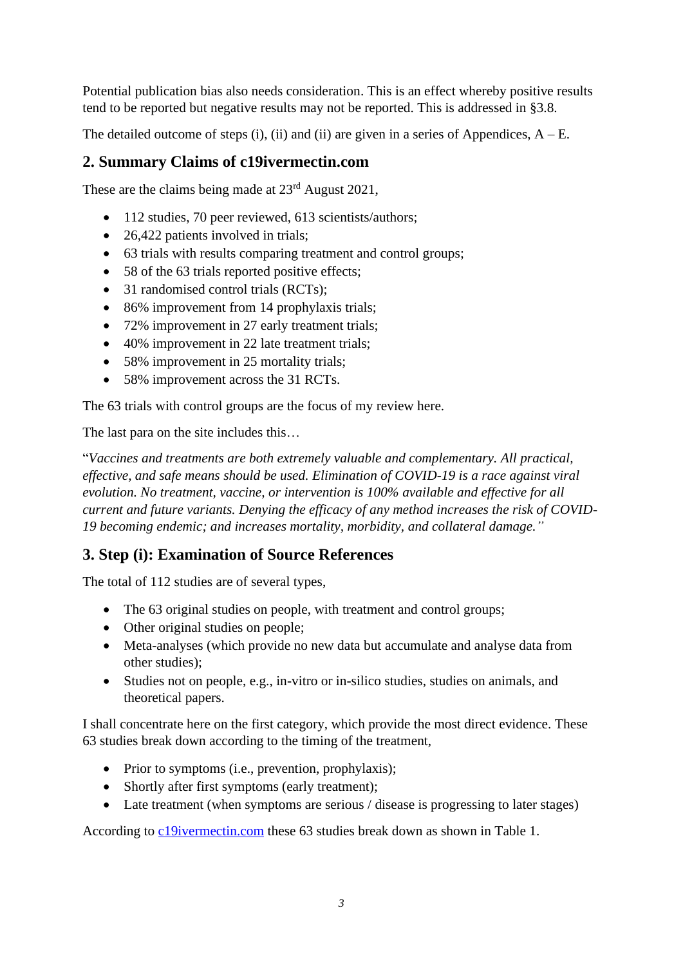Potential publication bias also needs consideration. This is an effect whereby positive results tend to be reported but negative results may not be reported. This is addressed in §3.8.

The detailed outcome of steps (i), (ii) and (ii) are given in a series of Appendices,  $A - E$ .

### <span id="page-2-0"></span>**2. Summary Claims of c19ivermectin.com**

These are the claims being made at  $23<sup>rd</sup>$  August 2021,

- 112 studies, 70 peer reviewed, 613 scientists/authors;
- 26,422 patients involved in trials;
- 63 trials with results comparing treatment and control groups;
- 58 of the 63 trials reported positive effects;
- 31 randomised control trials (RCTs);
- 86% improvement from 14 prophylaxis trials;
- 72% improvement in 27 early treatment trials;
- 40% improvement in 22 late treatment trials;
- 58% improvement in 25 mortality trials;
- 58% improvement across the 31 RCTs.

The 63 trials with control groups are the focus of my review here.

The last para on the site includes this…

"*Vaccines and treatments are both extremely valuable and complementary. All practical, effective, and safe means should be used. Elimination of COVID-19 is a race against viral evolution. No treatment, vaccine, or intervention is 100% available and effective for all current and future variants. Denying the efficacy of any method increases the risk of COVID-19 becoming endemic; and increases mortality, morbidity, and collateral damage."*

## <span id="page-2-1"></span>**3. Step (i): Examination of Source References**

The total of 112 studies are of several types,

- The 63 original studies on people, with treatment and control groups;
- Other original studies on people;
- Meta-analyses (which provide no new data but accumulate and analyse data from other studies);
- Studies not on people, e.g., in-vitro or in-silico studies, studies on animals, and theoretical papers.

I shall concentrate here on the first category, which provide the most direct evidence. These 63 studies break down according to the timing of the treatment,

- Prior to symptoms (i.e., prevention, prophylaxis);
- Shortly after first symptoms (early treatment);
- Late treatment (when symptoms are serious / disease is progressing to later stages)

According to [c19ivermectin.com](https://c19ivermectin.com/) these 63 studies break down as shown in Table 1.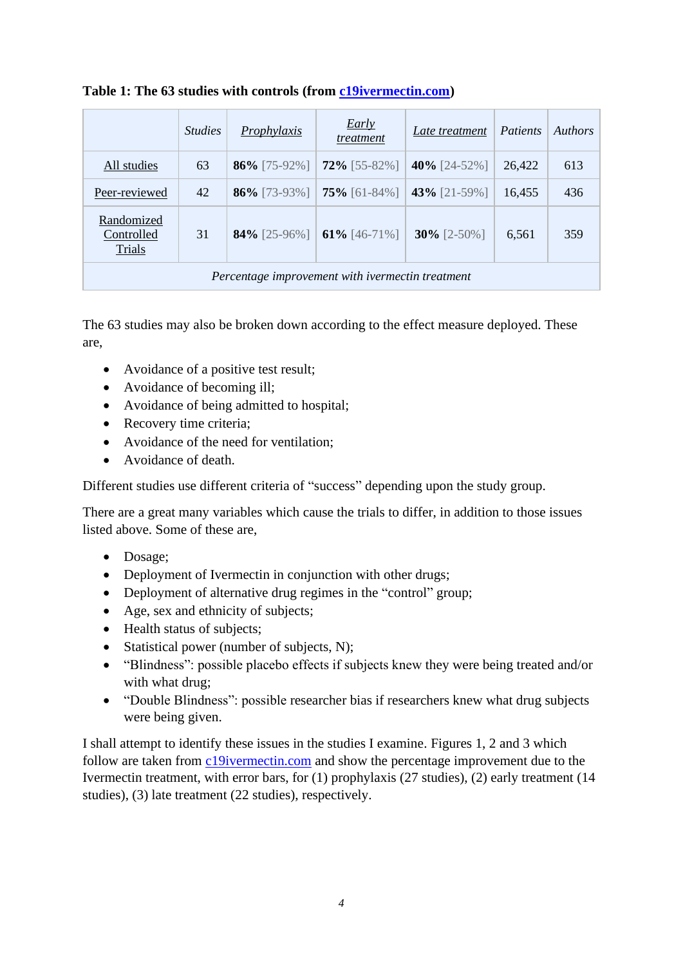|                                                  | <i><u><b>Studies</b></u></i> | Prophylaxis  | <i>Early</i><br>treatment | Late treatment  | Patients | <i>Authors</i> |
|--------------------------------------------------|------------------------------|--------------|---------------------------|-----------------|----------|----------------|
| All studies                                      | 63                           | 86% [75-92%] | $72\%$ [55-82%]           | 40% $[24-52\%]$ | 26,422   | 613            |
| Peer-reviewed                                    | 42                           | 86% [73-93%] | $75\%$ [61-84%]           | 43% [21-59%]    | 16,455   | 436            |
| Randomized<br>Controlled<br>Trials               | 31                           | 84% [25-96%] | 61% [46-71%]              | $30\%$ [2-50%]  | 6,561    | 359            |
| Percentage improvement with ivermectin treatment |                              |              |                           |                 |          |                |

#### **Table 1: The 63 studies with controls (from [c19ivermectin.com\)](https://c19ivermectin.com/)**

The 63 studies may also be broken down according to the effect measure deployed. These are,

- Avoidance of a positive test result;
- Avoidance of becoming ill;
- Avoidance of being admitted to hospital;
- Recovery time criteria;
- Avoidance of the need for ventilation;
- Avoidance of death.

Different studies use different criteria of "success" depending upon the study group.

There are a great many variables which cause the trials to differ, in addition to those issues listed above. Some of these are,

- Dosage;
- Deployment of Ivermectin in conjunction with other drugs;
- Deployment of alternative drug regimes in the "control" group;
- Age, sex and ethnicity of subjects:
- Health status of subjects;
- Statistical power (number of subjects, N);
- "Blindness": possible placebo effects if subjects knew they were being treated and/or with what drug;
- "Double Blindness": possible researcher bias if researchers knew what drug subjects were being given.

I shall attempt to identify these issues in the studies I examine. Figures 1, 2 and 3 which follow are taken from [c19ivermectin.com](https://c19ivermectin.com/) and show the percentage improvement due to the Ivermectin treatment, with error bars, for (1) prophylaxis (27 studies), (2) early treatment (14 studies), (3) late treatment (22 studies), respectively.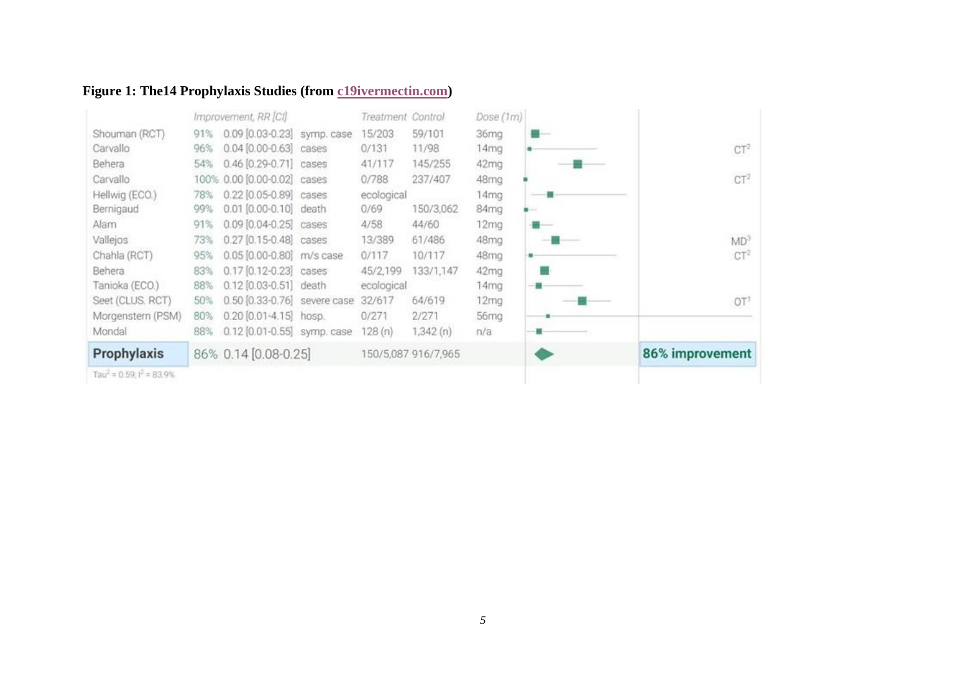# **Figure 1: The14 Prophylaxis Studies (from [c19ivermectin.com\)](https://c19ivermectin.com/)**

|                                           |     | Improvement, RR [CI]         | Treatment Control |                     | Dose (1m)        |                 |
|-------------------------------------------|-----|------------------------------|-------------------|---------------------|------------------|-----------------|
| Shouman (RCT)                             | 91% | 0.09 [0.03-0.23] symp. case  | 15/203            | 59/101              | 36mg             |                 |
| Carvallo                                  | 96% | $0.04 [0.00 - 0.63]$ cases   | 0/131             | 11/98               | 14mg             | CT <sup>2</sup> |
| Behera                                    | 54% | $0.46$ $[0.29 - 0.71]$ cases | 41/117            | 145/255             | 42mg             |                 |
| Carvallo                                  |     | 100% 0.00 [0.00-0.02] cases  | 0/788             | 237/407             | 48mg             | CT <sup>2</sup> |
| Hellwig (ECO.)                            | 78% | 0.22 [0.05-0.89] cases       | ecological        |                     | 14mg             |                 |
| Bernigaud                                 | 99% | 0.01 [0.00-0.10] death       | 0/69              | 150/3,062           | 84mg             |                 |
| Alam                                      | 91% | $0.09$ $[0.04 - 0.25]$ cases | 4/58              | 44/60               | 12 <sub>mg</sub> |                 |
| Vallejos                                  | 73% | 0.27 [0.15-0.48] cases       | 13/389            | 61/486              | 48mg             | MD <sup>3</sup> |
| Chahla (RCT)                              | 95% | 0.05 [0.00-0.80] m/s case    | 0/117             | 10/117              | 48mg             | CT <sup>2</sup> |
| Behera                                    | 83% | 0.17 [0.12-0.23] cases       | 45/2,199          | 133/1,147           | 42mg             |                 |
| Tanioka (ECO.)                            | 88% | 0.12 [0.03-0.51] death       | ecological        |                     | 14mg             |                 |
| Seet (CLUS, RCT)                          | 50% | 0.50 [0.33-0.76] severe case | 32/617            | 64/619              | 12 <sub>mg</sub> | OT <sup>1</sup> |
| Morgenstern (PSM)                         | 80% | $0.20$ $[0.01 - 4.15]$ hosp. | 0/271             | 2/271               | 56 <sub>ma</sub> |                 |
| Mondal                                    | 88% | 0.12 [0.01-0.55] symp. case  | 128(n)            | 1,342(n)            | n/a              |                 |
| Prophylaxis                               |     | 86% 0.14 [0.08-0.25]         |                   | 150/5,087 916/7,965 |                  | 86% improvement |
| Tau <sup>2</sup> = $0.59$ ; $I^2$ = 83.9% |     |                              |                   |                     |                  |                 |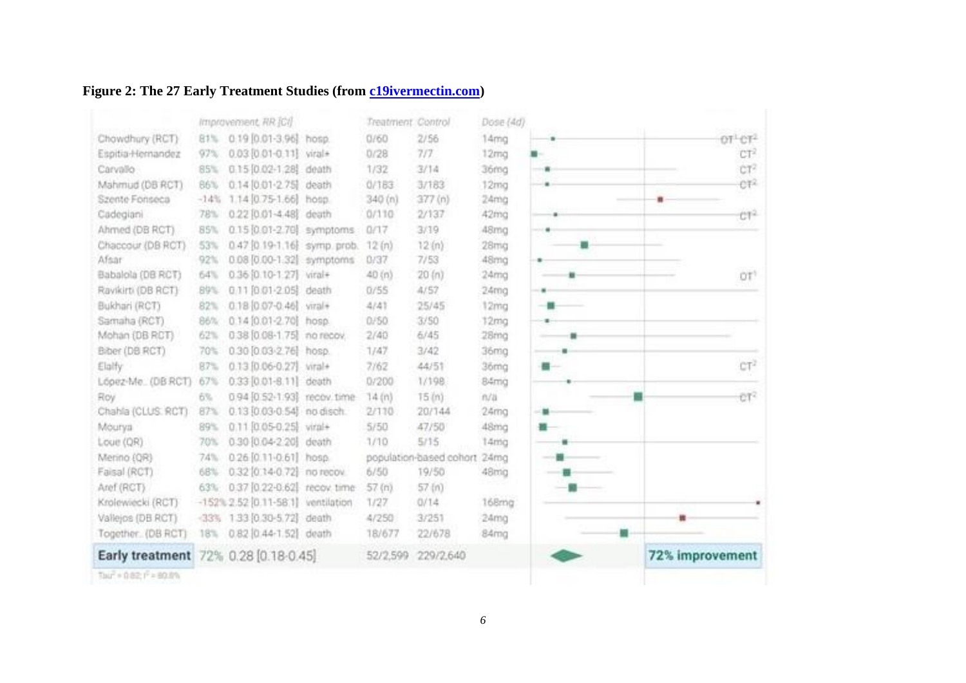## **Figure 2: The 27 Early Treatment Studies (from [c19ivermectin.com\)](https://c19ivermectin.com/)**

|                                      |        | Improvement, RR [C]                |       | Treatment Control |                              | Dose (4d)        |   |                                 |
|--------------------------------------|--------|------------------------------------|-------|-------------------|------------------------------|------------------|---|---------------------------------|
| Chowdhury (RCT)                      | 81%    | 0.19 0.01-3.96 hosp.               |       | 0760              | 2/56                         | 14mg             |   | OT <sup>1</sup> CT <sup>2</sup> |
| Espitia-Hernandez                    | 97%    | 0.03 [0.01-0.11] viral+            |       | 0/28              | 717                          | 12mg             |   | CT <sup>2</sup>                 |
| Carvallo                             | 85%    | $0.15[0.02-1.28]$                  | death | 1/32              | 3/14                         | 36mg             |   | CT <sup>2</sup>                 |
| Mahmud (DB RCT)                      | 86%    | 0.14 0.01-2.75 death               |       | 0/183             | 3/183                        | 12mg             |   | er                              |
| Szente Fonseca                       | $-14%$ | 1.14 [0.75-1.66] hosp.             |       | 340 (n)           | 377(n)                       | 24mg             |   | 面                               |
| Cadegiani                            | 78%    | 0.22 [0.01-4.48] death             |       | 0/110             | 2/137                        | 42mg             |   | CT2                             |
| Ahmed (DB RCT)                       | 85%    | 0.15 0.01-2.70 symptoms            |       | 0/17              | 3/19                         | 48mg             |   |                                 |
| Chaccour (DB RCT)                    | 53%    | 0.47 (0.19-1.16) symp.prob.        |       | 12 (n)            | 12(n)                        | 28mg             | ۰ |                                 |
| Afsar                                | 92%    | 0.08 [0.00-1.32] symptoms          |       | 0/37              | 7/53                         | 48mg             |   |                                 |
| Babalola (DB RCT)                    | 64%    | 0.36 [0.10-1.27] viral+            |       | 40 (n)            | 20 (n)                       | 24mg             |   | OT <sup>1</sup>                 |
| Ravikirti (DB RCT)                   | 89%    | 0.11 [0.01-2.05] death             |       | 0/55              | 4/57                         | 24 <sub>mg</sub> |   |                                 |
| Bukhari (RCT)                        | 82%    | 0.18 [0.07-0.46] viral+            |       | 4/41              | 25/45                        | 12mg             |   |                                 |
| Samaha (RCT)                         | 86%    | 0.14 [0.01-2.70] hosp.             |       | 0/50              | 3/50                         | 12mg             |   |                                 |
| Mohan (DB RCT)                       | 62%    | 0.38 [0.08-1.75] no recov.         |       | 2/40              | 6/45                         | 28mg             |   |                                 |
| Biber (DB RCT)                       | 70%    | 0.30 [0.03-2.76] hosp.             |       | 1/47              | 3/42                         | 36mg             |   |                                 |
| Elalfy                               | 87%    | 0.13 [0.06-0.27] wral+             |       | 7/62              | 44/51                        | 36mg             |   | CT <sup>2</sup>                 |
| López-Me. (DB RCT)                   | 67%    | 0.33 [0.01-8.11] death             |       | 0/200             | 1/198                        | 84mg             |   |                                 |
| Roy                                  | 6%     | 0.94 [0.52-1.93] recov. time       |       | 14 (n)            | 15 (n)                       | n/a              |   | €T <sup>2</sup>                 |
| Chahla (CLUS. RCT)                   | 87%    | 0.13 [0.03-0.54] no disch.         |       | 2/110             | 20/144                       | 24 <sub>mg</sub> |   |                                 |
| Mourya                               | 89%    | 0.11 [0.05-0.25] viral+            |       | 5/50              | 47/50                        | 48mg             |   |                                 |
| Loue (QR)                            | 70%    | 0.30 [0.04-2.20] death             |       | 1/10              | 5/15                         | 14mg             |   |                                 |
| Merino (QR)                          | 74%    | 0.26 [0.11-0.61] hosp.             |       |                   | population-based cohort 24mg |                  |   |                                 |
| Faisal (RCT)                         | 68%    | 0.32 [0.14-0.72] no recov.         |       | 6/50              | 19/50                        | 48mg             |   |                                 |
| Aref (RCT)                           | 63%    | 0.37 [0.22-0.62] recov. time       |       | 57(n)             | 57 (n)                       |                  |   |                                 |
| Krolewiecki (RCT)                    |        | -152% 2.52 (0.11-58.1) ventilation |       | 1/27              | 0/14                         | 168mg            |   |                                 |
| Vallejos (DB RCT)                    | $-33%$ | 1.33 [0.30-5.72] death             |       | 4/250             | 3/251                        | 24mg             |   |                                 |
| Together. (DB RCT)                   | 18%    | 0.82 [0.44-1.52] death             |       | 18/677            | 22/678                       | 84mg             |   |                                 |
| Early treatment 72% 0.28 [0.18-0.45] |        |                                    |       | 52/2,599          | 229/2,640                    |                  |   | 72% improvement                 |
| Tour + 0.82; I <sup>C</sup> = 80.8%  |        |                                    |       |                   |                              |                  |   |                                 |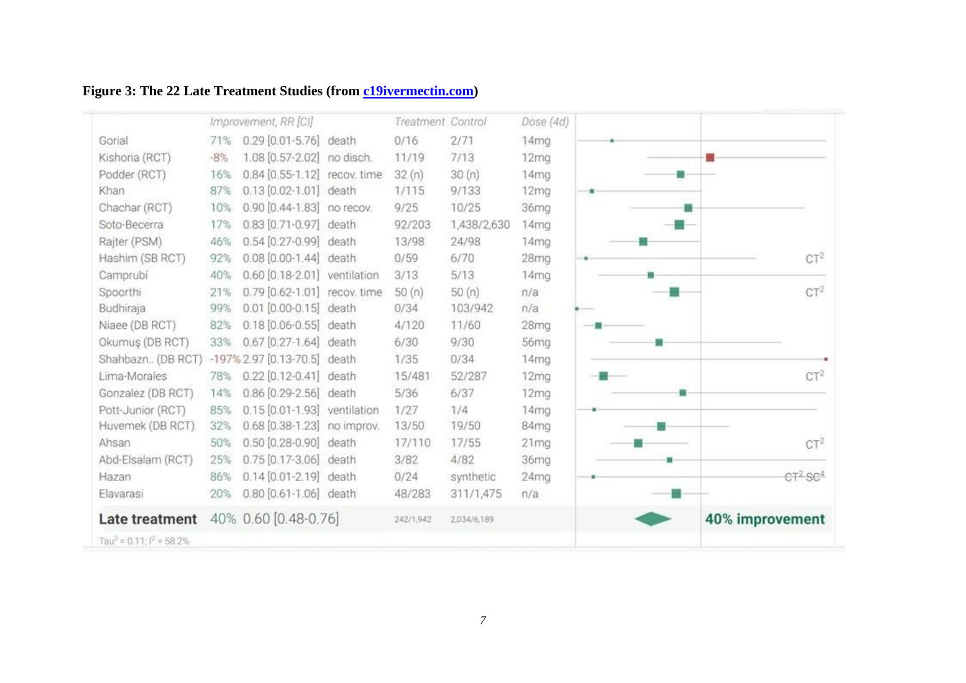# **Figure 3: The 22 Late Treatment Studies (from [c19ivermectin.com\)](https://c19ivermectin.com/)**

|                                           |       | Improvement, RR [CI]         | Treatment Control |             | Dose (4d)        |   |                                 |
|-------------------------------------------|-------|------------------------------|-------------------|-------------|------------------|---|---------------------------------|
| Gorial                                    | 71%   | 0.29 [0.01-5.76] death       | 0/16              | 2/71        | 14mg             |   |                                 |
| Kishoria (RCT)                            | $-8%$ | 1.08 [0.57-2.02] no disch.   | 11/19             | 7/13        | 12 <sub>mq</sub> |   |                                 |
| Podder (RCT)                              | 16%   | 0.84 [0.55-1.12] recov. time | 32(n)             | 30(n)       | 14 <sub>mg</sub> |   |                                 |
| Khan                                      | 87%   | 0.13 [0.02-1.01] death       | 1/115             | 9/133       | 12 <sub>mg</sub> |   |                                 |
| Chachar (RCT)                             | 10%   | 0.90 [0.44-1.83] no recov.   | 9/25              | 10/25       | 36mg             |   |                                 |
| Soto-Becerra                              | 17%   | 0.83 [0.71-0.97] death       | 92/203            | 1,438/2,630 | 14mg             |   |                                 |
| Rajter (PSM)                              | 46%   | 0.54 [0.27-0.99] death       | 13/98             | 24/98       | 14 <sub>mq</sub> |   |                                 |
| Hashim (SB RCT)                           | 92%   | 0.08 [0.00-1.44] death       | 0/59              | 6/70        | 28 <sub>mg</sub> |   | $CT^2$                          |
| Camprubí                                  | 40%   | 0.60 [0.18-2.01] ventilation | 3/13              | 5/13        | 14 <sub>mg</sub> |   |                                 |
| Spoorthi                                  | 21%   | 0.79 [0.62-1.01] recov. time | 50(n)             | 50(n)       | n/a              |   | $CT^2$                          |
| Budhiraja                                 | 99%   | 0.01 [0.00-0.15] death       | 0/34              | 103/942     | n/a              |   |                                 |
| Niaee (DB RCT)                            | 82%   | 0.18 [0.06-0.55] death       | 4/120             | 11/60       | 28mg             |   |                                 |
| Okumuş (DB RCT)                           | 33%   | 0.67 [0.27-1.64] death       | 6/30              | 9/30        | 56mg             |   |                                 |
| Shahbazn (DB RCT)                         |       | -197% 2.97 [0.13-70.5] death | 1/35              | 0/34        | 14 <sub>mq</sub> |   |                                 |
| Lima-Morales                              | 78%   | 0.22 [0.12-0.41] death       | 15/481            | 52/287      | 12 <sub>ma</sub> |   | CT <sup>2</sup>                 |
| Gonzalez (DB RCT)                         | 14%   | 0.86 [0.29-2.56] death       | 5/36              | 6/37        | 12 <sub>mq</sub> | m |                                 |
| Pott-Junior (RCT)                         | 85%   | 0.15 [0.01-1.93] ventilation | 1/27              | 1/4         | 14mg             |   |                                 |
| Huvemek (DB RCT)                          | 32%   | 0.68 [0.38-1.23] no improv.  | 13/50             | 19/50       | 84mg             |   |                                 |
| Ahsan                                     | 50%   | 0.50 [0.28-0.90] death       | 17/110            | 17/55       | 21 <sub>mq</sub> |   | $CT^2$                          |
| Abd-Elsalam (RCT)                         | 25%   | 0.75 [0.17-3.06] death       | 3/82              | 4/82        | 36mg             |   |                                 |
| Hazan                                     | 86%   | 0.14 [0.01-2.19] death       | 0/24              | synthetic   | 24mg             |   | CT <sup>2</sup> SC <sup>4</sup> |
| Elavarasi                                 | 20%   | 0.80 [0.61-1.06] death       | 48/283            | 311/1,475   | n/a              |   |                                 |
| Late treatment                            |       | 40% 0.60 [0.48-0.76]         | 242/1,942         | 2,034/6,189 |                  |   | 40% improvement                 |
| Tau <sup>2</sup> = $0.11$ ; $I^2$ = 58.2% |       |                              |                   |             |                  |   |                                 |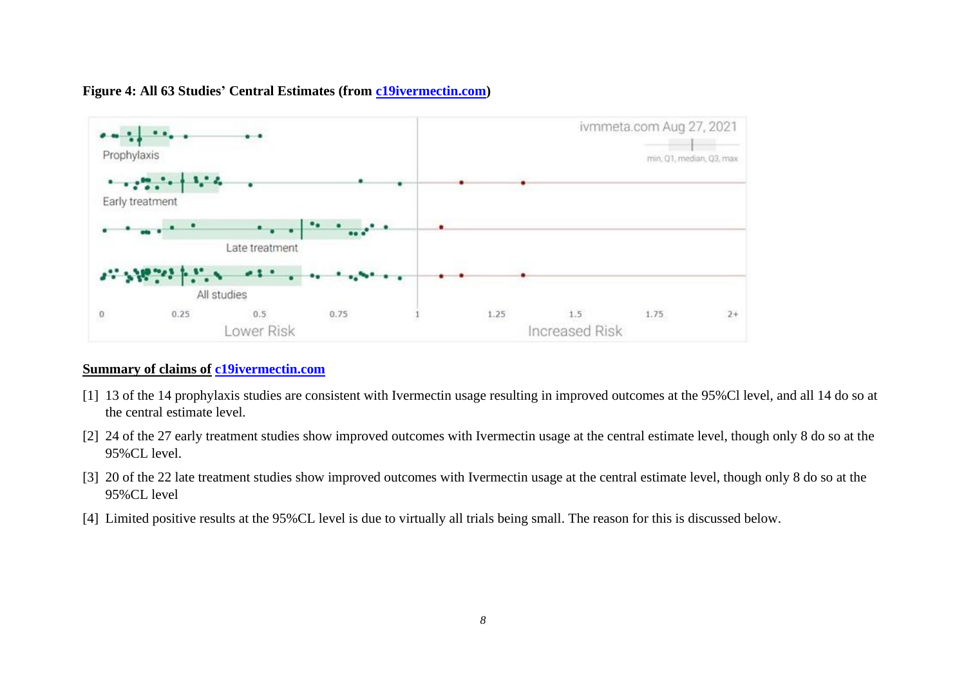

#### **Figure 4: All 63 Studies' Central Estimates (from [c19ivermectin.com\)](https://c19ivermectin.com/)**

#### **Summary of claims of [c19ivermectin.com](https://c19ivermectin.com/)**

- [1] 13 of the 14 prophylaxis studies are consistent with Ivermectin usage resulting in improved outcomes at the 95%Cl level, and all 14 do so at the central estimate level.
- [2] 24 of the 27 early treatment studies show improved outcomes with Ivermectin usage at the central estimate level, though only 8 do so at the 95%CL level.
- [3] 20 of the 22 late treatment studies show improved outcomes with Ivermectin usage at the central estimate level, though only 8 do so at the 95%CL level
- [4] Limited positive results at the 95%CL level is due to virtually all trials being small. The reason for this is discussed below.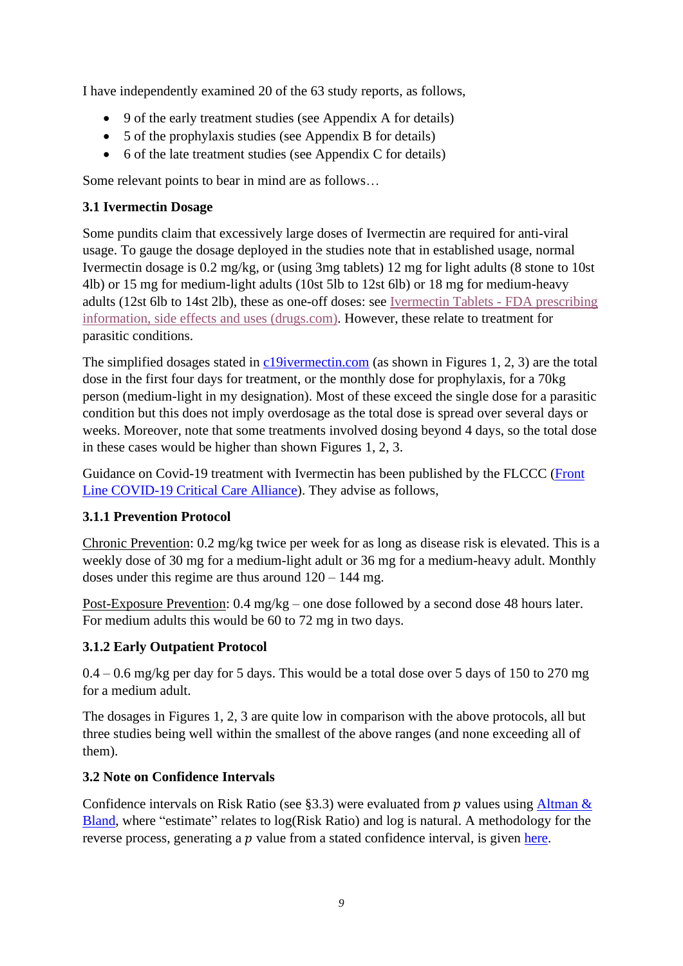I have independently examined 20 of the 63 study reports, as follows,

- 9 of the early treatment studies (see Appendix A for details)
- 5 of the prophylaxis studies (see Appendix B for details)
- 6 of the late treatment studies (see Appendix C for details)

Some relevant points to bear in mind are as follows…

### <span id="page-8-0"></span>**3.1 Ivermectin Dosage**

Some pundits claim that excessively large doses of Ivermectin are required for anti-viral usage. To gauge the dosage deployed in the studies note that in established usage, normal Ivermectin dosage is 0.2 mg/kg, or (using 3mg tablets) 12 mg for light adults (8 stone to 10st 4lb) or 15 mg for medium-light adults (10st 5lb to 12st 6lb) or 18 mg for medium-heavy adults (12st 6lb to 14st 2lb), these as one-off doses: see Ivermectin Tablets - FDA [prescribing](https://emea01.safelinks.protection.outlook.com/?url=https%3A%2F%2Fwww.drugs.com%2Fpro%2Fivermectin-tablets.html&data=04%7C01%7C%7C15a9c7b1079d48697b4a08d937e8970b%7C84df9e7fe9f640afb435aaaaaaaaaaaa%7C1%7C0%7C637602294377057530%7CUnknown%7CTWFpbGZsb3d8eyJWIjoiMC4wLjAwMDAiLCJQIjoiV2luMzIiLCJBTiI6Ik1haWwiLCJXVCI6Mn0%3D%7C1000&sdata=xMYVH4Z5EE9F%2F0skSU6Qr%2BOQF1z1qQogmiMem34oh5I%3D&reserved=0) information, side effects and uses [\(drugs.com\).](https://emea01.safelinks.protection.outlook.com/?url=https%3A%2F%2Fwww.drugs.com%2Fpro%2Fivermectin-tablets.html&data=04%7C01%7C%7C15a9c7b1079d48697b4a08d937e8970b%7C84df9e7fe9f640afb435aaaaaaaaaaaa%7C1%7C0%7C637602294377057530%7CUnknown%7CTWFpbGZsb3d8eyJWIjoiMC4wLjAwMDAiLCJQIjoiV2luMzIiLCJBTiI6Ik1haWwiLCJXVCI6Mn0%3D%7C1000&sdata=xMYVH4Z5EE9F%2F0skSU6Qr%2BOQF1z1qQogmiMem34oh5I%3D&reserved=0) However, these relate to treatment for parasitic conditions.

The simplified dosages stated in [c19ivermectin.com](https://c19ivermectin.com/) (as shown in Figures 1, 2, 3) are the total dose in the first four days for treatment, or the monthly dose for prophylaxis, for a 70kg person (medium-light in my designation). Most of these exceed the single dose for a parasitic condition but this does not imply overdosage as the total dose is spread over several days or weeks. Moreover, note that some treatments involved dosing beyond 4 days, so the total dose in these cases would be higher than shown Figures 1, 2, 3.

Guidance on Covid-19 treatment with Ivermectin has been published by the FLCCC [\(Front](https://covid19criticalcare.com/covid-19-protocols/i-mask-plus-protocol/)  [Line COVID-19 Critical Care Alliance\)](https://covid19criticalcare.com/covid-19-protocols/i-mask-plus-protocol/). They advise as follows,

### <span id="page-8-1"></span>**3.1.1 Prevention Protocol**

Chronic Prevention: 0.2 mg/kg twice per week for as long as disease risk is elevated. This is a weekly dose of 30 mg for a medium-light adult or 36 mg for a medium-heavy adult. Monthly doses under this regime are thus around  $120 - 144$  mg.

Post-Exposure Prevention: 0.4 mg/kg – one dose followed by a second dose 48 hours later. For medium adults this would be 60 to 72 mg in two days.

#### <span id="page-8-2"></span>**3.1.2 Early Outpatient Protocol**

 $0.4 - 0.6$  mg/kg per day for 5 days. This would be a total dose over 5 days of 150 to 270 mg for a medium adult.

The dosages in Figures 1, 2, 3 are quite low in comparison with the above protocols, all but three studies being well within the smallest of the above ranges (and none exceeding all of them).

### <span id="page-8-3"></span>**3.2 Note on Confidence Intervals**

Confidence intervals on Risk Ratio (see §3.3) were evaluated from p values using Altman  $\&$ [Bland,](https://www.bmj.com/content/343/bmj.d2090) where "estimate" relates to log(Risk Ratio) and log is natural. A methodology for the reverse process, generating a  $p$  value from a stated confidence interval, is given [here.](https://www.bmj.com/content/343/bmj.d2304)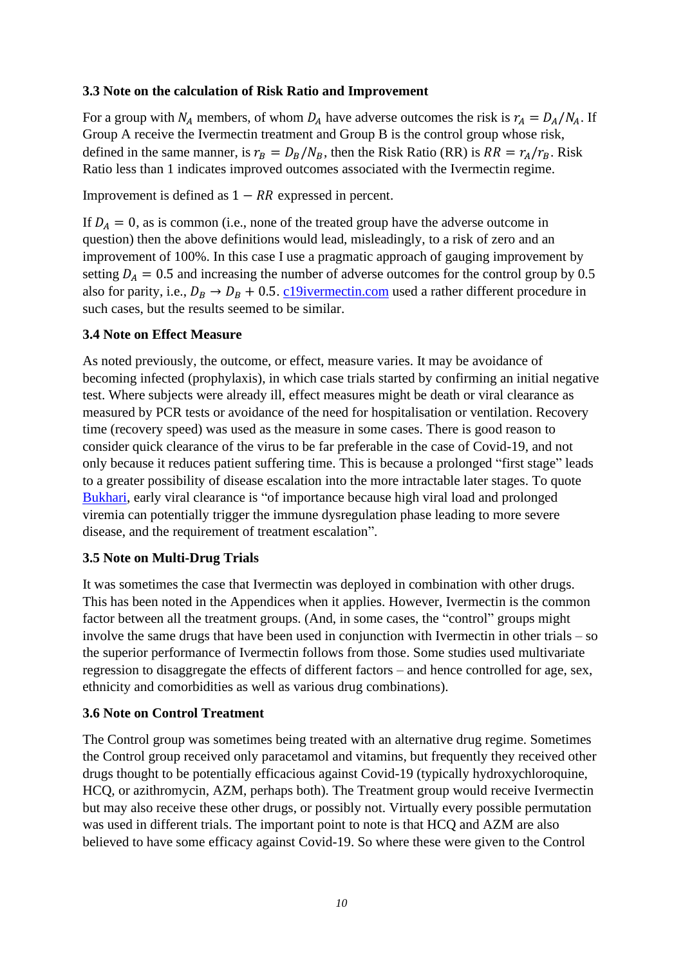#### <span id="page-9-0"></span>**3.3 Note on the calculation of Risk Ratio and Improvement**

For a group with  $N_A$  members, of whom  $D_A$  have adverse outcomes the risk is  $r_A = D_A/N_A$ . If Group A receive the Ivermectin treatment and Group B is the control group whose risk, defined in the same manner, is  $r_B = D_B/N_B$ , then the Risk Ratio (RR) is  $RR = r_A/r_B$ . Risk Ratio less than 1 indicates improved outcomes associated with the Ivermectin regime.

Improvement is defined as  $1 - RR$  expressed in percent.

If  $D_A = 0$ , as is common (i.e., none of the treated group have the adverse outcome in question) then the above definitions would lead, misleadingly, to a risk of zero and an improvement of 100%. In this case I use a pragmatic approach of gauging improvement by setting  $D_A = 0.5$  and increasing the number of adverse outcomes for the control group by 0.5 also for parity, i.e.,  $D_B \rightarrow D_B + 0.5$ . [c19ivermectin.com](https://c19ivermectin.com/) used a rather different procedure in such cases, but the results seemed to be similar.

#### <span id="page-9-1"></span>**3.4 Note on Effect Measure**

As noted previously, the outcome, or effect, measure varies. It may be avoidance of becoming infected (prophylaxis), in which case trials started by confirming an initial negative test. Where subjects were already ill, effect measures might be death or viral clearance as measured by PCR tests or avoidance of the need for hospitalisation or ventilation. Recovery time (recovery speed) was used as the measure in some cases. There is good reason to consider quick clearance of the virus to be far preferable in the case of Covid-19, and not only because it reduces patient suffering time. This is because a prolonged "first stage" leads to a greater possibility of disease escalation into the more intractable later stages. To quote [Bukhari,](https://www.medrxiv.org/content/10.1101/2021.02.02.21250840v1.full.pdf) early viral clearance is "of importance because high viral load and prolonged viremia can potentially trigger the immune dysregulation phase leading to more severe disease, and the requirement of treatment escalation".

#### <span id="page-9-2"></span>**3.5 Note on Multi-Drug Trials**

It was sometimes the case that Ivermectin was deployed in combination with other drugs. This has been noted in the Appendices when it applies. However, Ivermectin is the common factor between all the treatment groups. (And, in some cases, the "control" groups might involve the same drugs that have been used in conjunction with Ivermectin in other trials – so the superior performance of Ivermectin follows from those. Some studies used multivariate regression to disaggregate the effects of different factors – and hence controlled for age, sex, ethnicity and comorbidities as well as various drug combinations).

#### <span id="page-9-3"></span>**3.6 Note on Control Treatment**

The Control group was sometimes being treated with an alternative drug regime. Sometimes the Control group received only paracetamol and vitamins, but frequently they received other drugs thought to be potentially efficacious against Covid-19 (typically hydroxychloroquine, HCQ, or azithromycin, AZM, perhaps both). The Treatment group would receive Ivermectin but may also receive these other drugs, or possibly not. Virtually every possible permutation was used in different trials. The important point to note is that HCQ and AZM are also believed to have some efficacy against Covid-19. So where these were given to the Control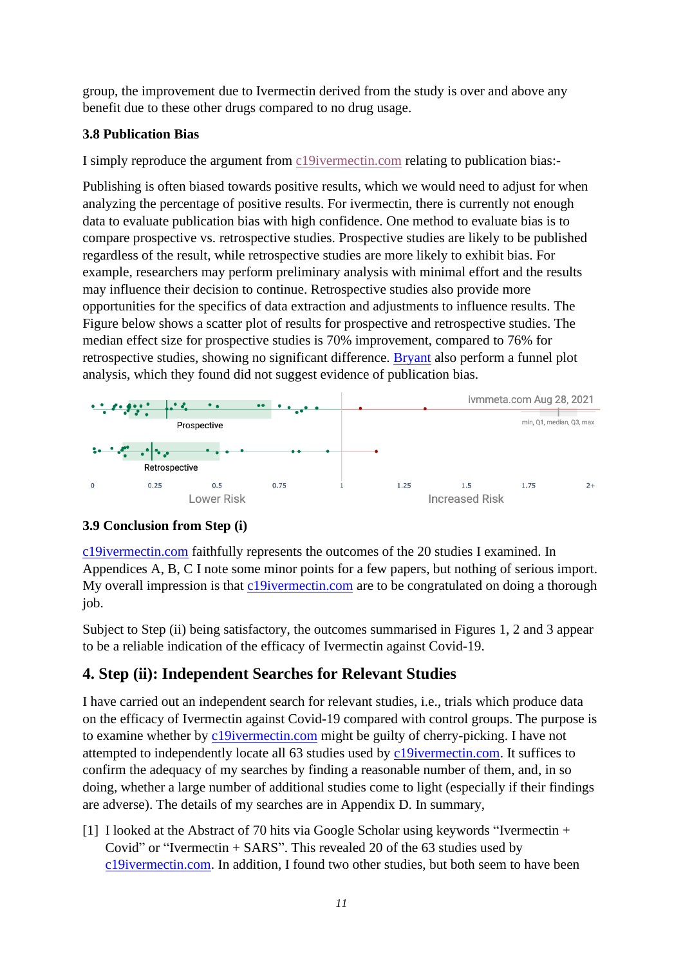group, the improvement due to Ivermectin derived from the study is over and above any benefit due to these other drugs compared to no drug usage.

#### <span id="page-10-0"></span>**3.8 Publication Bias**

I simply reproduce the argument from [c19ivermectin.com](https://c19ivermectin.com/) relating to publication bias:-

Publishing is often biased towards positive results, which we would need to adjust for when analyzing the percentage of positive results. For ivermectin, there is currently not enough data to evaluate publication bias with high confidence. One method to evaluate bias is to compare prospective vs. retrospective studies. Prospective studies are likely to be published regardless of the result, while retrospective studies are more likely to exhibit bias. For example, researchers may perform preliminary analysis with minimal effort and the results may influence their decision to continue. Retrospective studies also provide more opportunities for the specifics of data extraction and adjustments to influence results. The Figure below shows a scatter plot of results for prospective and retrospective studies. The median effect size for prospective studies is 70% improvement, compared to 76% for retrospective studies, showing no significant difference. [Bryant](https://journals.lww.com/americantherapeutics/Fulltext/2021/08000/Ivermectin_for_Prevention_and_Treatment_of.7.aspx) also perform a funnel plot analysis, which they found did not suggest evidence of publication bias.



#### <span id="page-10-1"></span>**3.9 Conclusion from Step (i)**

[c19ivermectin.com](https://c19ivermectin.com/) faithfully represents the outcomes of the 20 studies I examined. In Appendices A, B, C I note some minor points for a few papers, but nothing of serious import. My overall impression is that [c19ivermectin.com](https://c19ivermectin.com/) are to be congratulated on doing a thorough job.

Subject to Step (ii) being satisfactory, the outcomes summarised in Figures 1, 2 and 3 appear to be a reliable indication of the efficacy of Ivermectin against Covid-19.

## <span id="page-10-2"></span>**4. Step (ii): Independent Searches for Relevant Studies**

I have carried out an independent search for relevant studies, i.e., trials which produce data on the efficacy of Ivermectin against Covid-19 compared with control groups. The purpose is to examine whether by [c19ivermectin.com](https://c19ivermectin.com/) might be guilty of cherry-picking. I have not attempted to independently locate all 63 studies used by [c19ivermectin.com.](https://c19ivermectin.com/) It suffices to confirm the adequacy of my searches by finding a reasonable number of them, and, in so doing, whether a large number of additional studies come to light (especially if their findings are adverse). The details of my searches are in Appendix D. In summary,

[1] I looked at the Abstract of 70 hits via Google Scholar using keywords "Ivermectin + Covid" or "Ivermectin + SARS". This revealed 20 of the 63 studies used by [c19ivermectin.com.](https://c19ivermectin.com/) In addition, I found two other studies, but both seem to have been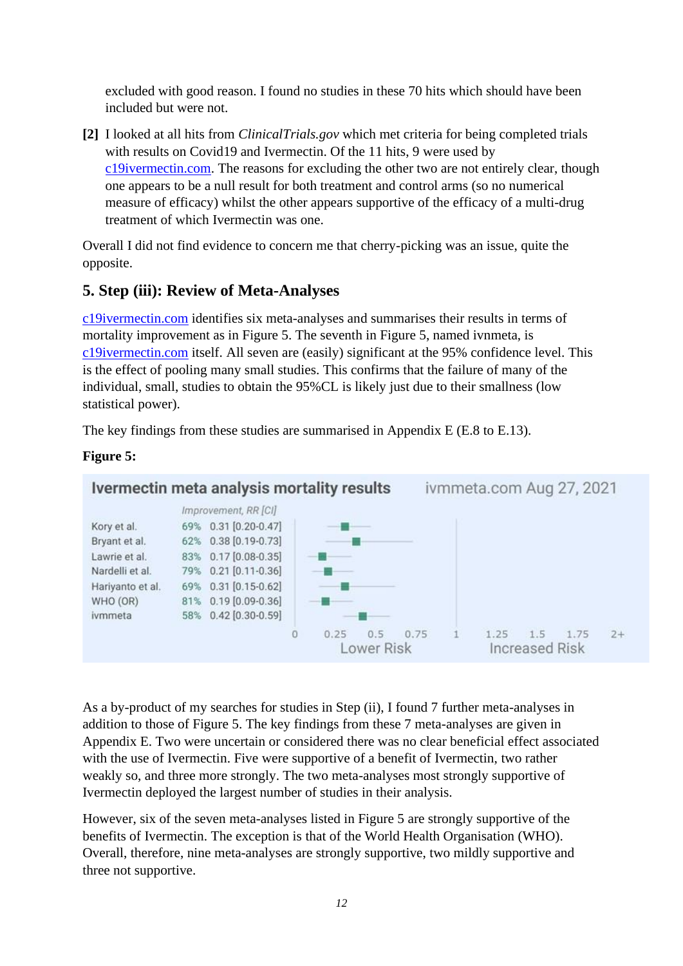excluded with good reason. I found no studies in these 70 hits which should have been included but were not.

**[2]** I looked at all hits from *ClinicalTrials.gov* which met criteria for being completed trials with results on Covid19 and Ivermectin. Of the 11 hits, 9 were used by [c19ivermectin.com.](https://c19ivermectin.com/) The reasons for excluding the other two are not entirely clear, though one appears to be a null result for both treatment and control arms (so no numerical measure of efficacy) whilst the other appears supportive of the efficacy of a multi-drug treatment of which Ivermectin was one.

Overall I did not find evidence to concern me that cherry-picking was an issue, quite the opposite.

### <span id="page-11-0"></span>**5. Step (iii): Review of Meta-Analyses**

[c19ivermectin.com](https://c19ivermectin.com/) identifies six meta-analyses and summarises their results in terms of mortality improvement as in Figure 5. The seventh in Figure 5, named ivnmeta, is [c19ivermectin.com](https://c19ivermectin.com/) itself. All seven are (easily) significant at the 95% confidence level. This is the effect of pooling many small studies. This confirms that the failure of many of the individual, small, studies to obtain the 95%CL is likely just due to their smallness (low statistical power).

The key findings from these studies are summarised in Appendix E (E.8 to E.13).



As a by-product of my searches for studies in Step (ii), I found 7 further meta-analyses in addition to those of Figure 5. The key findings from these 7 meta-analyses are given in Appendix E. Two were uncertain or considered there was no clear beneficial effect associated with the use of Ivermectin. Five were supportive of a benefit of Ivermectin, two rather weakly so, and three more strongly. The two meta-analyses most strongly supportive of Ivermectin deployed the largest number of studies in their analysis.

However, six of the seven meta-analyses listed in Figure 5 are strongly supportive of the benefits of Ivermectin. The exception is that of the World Health Organisation (WHO). Overall, therefore, nine meta-analyses are strongly supportive, two mildly supportive and three not supportive.

#### **Figure 5:**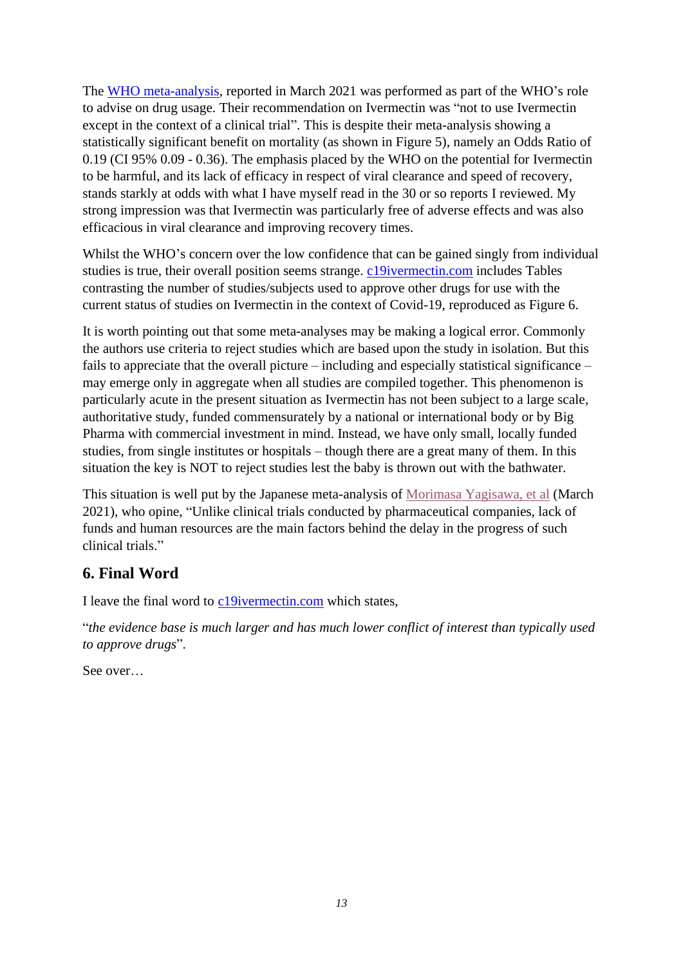The [WHO meta-analysis,](https://apps.who.int/iris/bitstream/handle/10665/340374/WHO-2019-nCoV-therapeutics-2021.1-eng.pdf) reported in March 2021 was performed as part of the WHO's role to advise on drug usage. Their recommendation on Ivermectin was "not to use Ivermectin except in the context of a clinical trial". This is despite their meta-analysis showing a statistically significant benefit on mortality (as shown in Figure 5), namely an Odds Ratio of 0.19 (CI 95% 0.09 - 0.36). The emphasis placed by the WHO on the potential for Ivermectin to be harmful, and its lack of efficacy in respect of viral clearance and speed of recovery, stands starkly at odds with what I have myself read in the 30 or so reports I reviewed. My strong impression was that Ivermectin was particularly free of adverse effects and was also efficacious in viral clearance and improving recovery times.

Whilst the WHO's concern over the low confidence that can be gained singly from individual studies is true, their overall position seems strange. [c19ivermectin.com](https://c19ivermectin.com/) includes Tables contrasting the number of studies/subjects used to approve other drugs for use with the current status of studies on Ivermectin in the context of Covid-19, reproduced as Figure 6.

It is worth pointing out that some meta-analyses may be making a logical error. Commonly the authors use criteria to reject studies which are based upon the study in isolation. But this fails to appreciate that the overall picture – including and especially statistical significance – may emerge only in aggregate when all studies are compiled together. This phenomenon is particularly acute in the present situation as Ivermectin has not been subject to a large scale, authoritative study, funded commensurately by a national or international body or by Big Pharma with commercial investment in mind. Instead, we have only small, locally funded studies, from single institutes or hospitals – though there are a great many of them. In this situation the key is NOT to reject studies lest the baby is thrown out with the bathwater.

This situation is well put by the Japanese meta-analysis of [Morimasa Yagisawa,](https://www.psychoactif.org/forum/uploads/documents/161/74-1_44-95.pdf) et al (March 2021), who opine, "Unlike clinical trials conducted by pharmaceutical companies, lack of funds and human resources are the main factors behind the delay in the progress of such clinical trials."

## <span id="page-12-0"></span>**6. Final Word**

I leave the final word to [c19ivermectin.com](https://c19ivermectin.com/) which states,

"*the evidence base is much larger and has much lower conflict of interest than typically used to approve drugs*".

See over…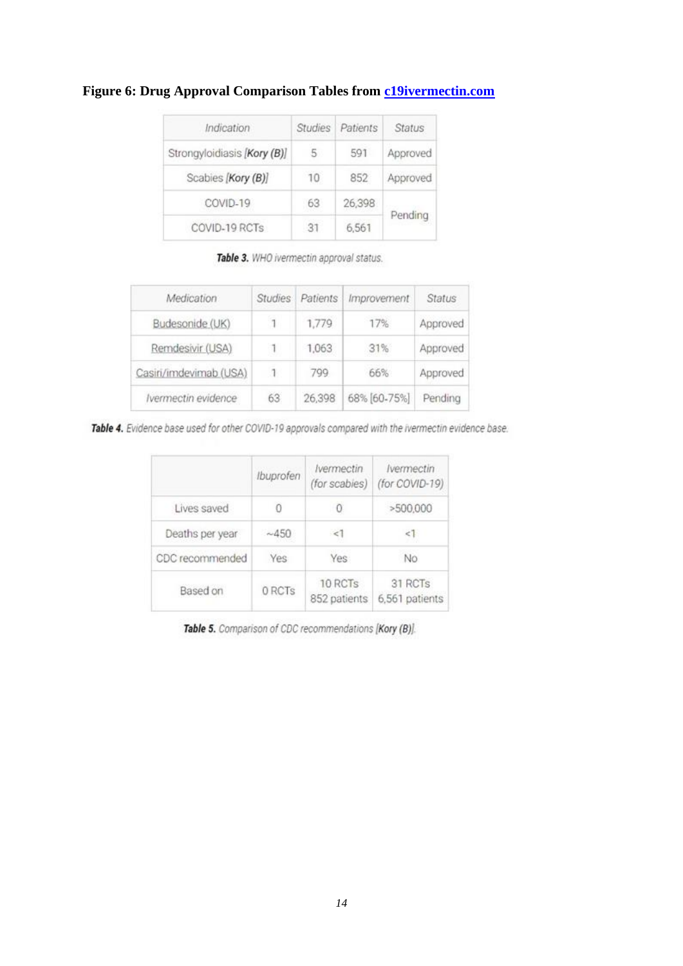| Indication                  | <b>Studies</b> | Patients | <b>Status</b> |
|-----------------------------|----------------|----------|---------------|
| Strongyloidiasis [Kory (B)] | 5              | 591      | Approved      |
| Scabies [Kory (B)]          | 10             | 852      | Approved      |
| COVID-19                    | 63             | 26,398   |               |
| COVID-19 RCTs               | -31            | 6,561    | Pending       |

#### **Figure 6: Drug Approval Comparison Tables from [c19ivermectin.com](https://c19ivermectin.com/)**

Table 3. WHO ivermectin approval status.

| Medication             | <b>Studies</b> | Patients | Improvement  | Status   |
|------------------------|----------------|----------|--------------|----------|
| Budesonide (UK)        |                | 1,779    | 17%          | Approved |
| Remdesivir (USA)       |                | 1,063    | 31%          | Approved |
| Casiri/imdevimab (USA) | $\mathbf{1}$   | 799      | 66%          | Approved |
| Ivermectin evidence    | .<br>63        | 26,398   | 68% [60-75%] | Pending  |

Table 4. Evidence base used for other COVID-19 approvals compared with the ivermectin evidence base.

|                 | Ibuprofen | Ivermectin<br>(for scabies) | <b>Ivermectin</b><br>(for COVID-19) |
|-----------------|-----------|-----------------------------|-------------------------------------|
| Lives saved     |           |                             | >500,000                            |
| Deaths per year | ~1.450    | <1                          | $\leq$ 1                            |
| CDC recommended | Yes       | Yes                         | No                                  |
| Based on        | 0 RCTs    | 10 RCTs<br>852 patients     | 31 RCTs<br>6,561 patients           |

Table 5. Comparison of CDC recommendations [Kory (B)].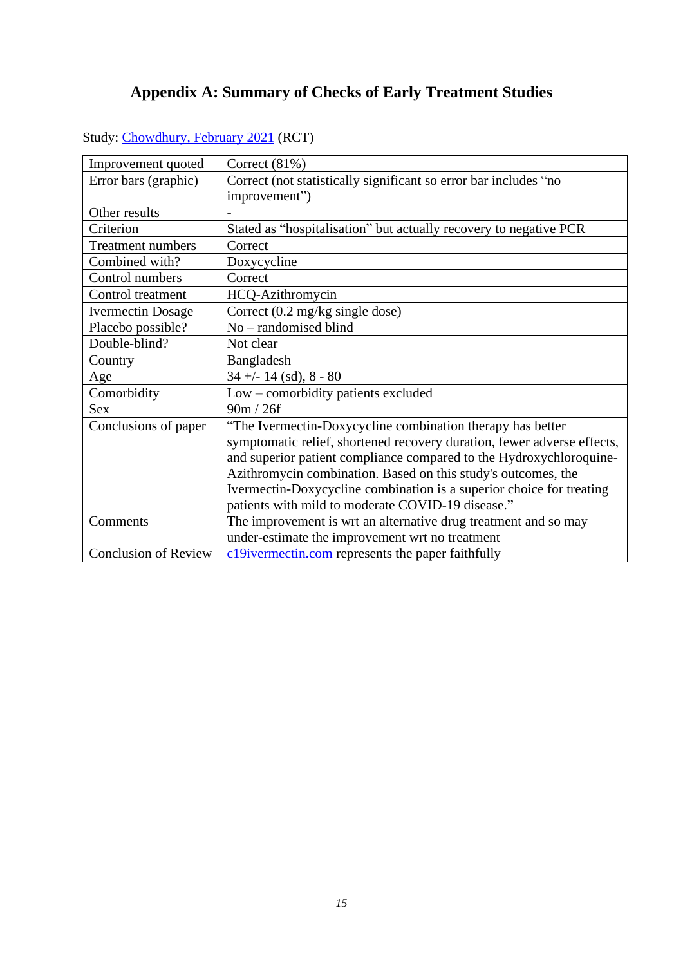# **Appendix A: Summary of Checks of Early Treatment Studies**

| Improvement quoted          | Correct $(81\%)$                                                        |
|-----------------------------|-------------------------------------------------------------------------|
| Error bars (graphic)        | Correct (not statistically significant so error bar includes "no        |
|                             | improvement")                                                           |
| Other results               |                                                                         |
| Criterion                   | Stated as "hospitalisation" but actually recovery to negative PCR       |
| Treatment numbers           | Correct                                                                 |
| Combined with?              | Doxycycline                                                             |
| Control numbers             | Correct                                                                 |
| Control treatment           | HCQ-Azithromycin                                                        |
| <b>Ivermectin Dosage</b>    | Correct $(0.2 \text{ mg/kg single dose})$                               |
| Placebo possible?           | No - randomised blind                                                   |
| Double-blind?               | Not clear                                                               |
| Country                     | Bangladesh                                                              |
| Age                         | $34 + - 14$ (sd), $8 - 80$                                              |
| Comorbidity                 | Low – comorbidity patients excluded                                     |
| <b>Sex</b>                  | 90m / 26f                                                               |
| Conclusions of paper        | "The Ivermectin-Doxycycline combination therapy has better              |
|                             | symptomatic relief, shortened recovery duration, fewer adverse effects, |
|                             | and superior patient compliance compared to the Hydroxychloroquine-     |
|                             | Azithromycin combination. Based on this study's outcomes, the           |
|                             | Ivermectin-Doxycycline combination is a superior choice for treating    |
|                             | patients with mild to moderate COVID-19 disease."                       |
| Comments                    | The improvement is wrt an alternative drug treatment and so may         |
|                             | under-estimate the improvement wrt no treatment                         |
| <b>Conclusion of Review</b> | c19ivermectin.com represents the paper faithfully                       |

<span id="page-14-0"></span>Study: [Chowdhury, February 2021](https://ejmo.org/pdf/A%20Comparative%20Study%20on%20IvermectinDoxycycline%20and%20HydroxychloroquineAzithromycin%20Therapy%20on%20COVID19%20Patients-16263.pdf) (RCT)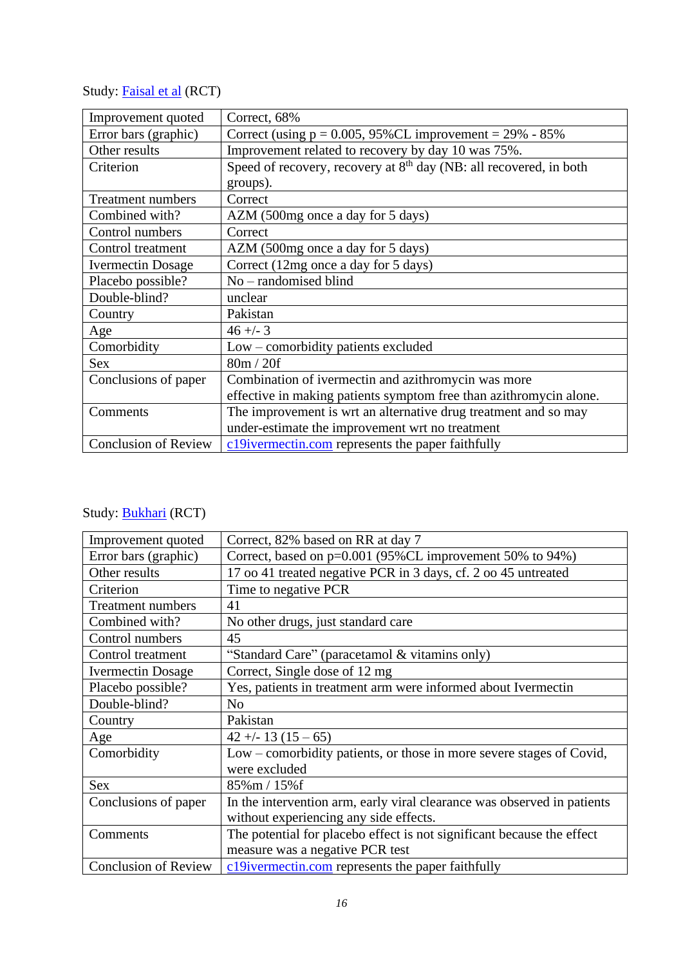# Study: **Faisal et al** (RCT)

| Improvement quoted          | Correct, 68%                                                                               |
|-----------------------------|--------------------------------------------------------------------------------------------|
| Error bars (graphic)        | Correct (using $p = 0.005$ , 95%CL improvement = 29% - 85%                                 |
| Other results               | Improvement related to recovery by day 10 was 75%.                                         |
| Criterion                   | Speed of recovery, recovery at 8 <sup>th</sup> day (NB: all recovered, in both<br>groups). |
| <b>Treatment numbers</b>    | Correct                                                                                    |
| Combined with?              | AZM (500mg once a day for 5 days)                                                          |
| Control numbers             | Correct                                                                                    |
|                             |                                                                                            |
| Control treatment           | AZM (500mg once a day for 5 days)                                                          |
| <b>Ivermectin Dosage</b>    | Correct (12mg once a day for 5 days)                                                       |
| Placebo possible?           | $No$ – randomised blind                                                                    |
| Double-blind?               | unclear                                                                                    |
| Country                     | Pakistan                                                                                   |
| Age                         | $46 + - 3$                                                                                 |
| Comorbidity                 | Low - comorbidity patients excluded                                                        |
| <b>Sex</b>                  | 80m / 20f                                                                                  |
| Conclusions of paper        | Combination of ivermectin and azithromycin was more                                        |
|                             | effective in making patients symptom free than azithromycin alone.                         |
| Comments                    | The improvement is wrt an alternative drug treatment and so may                            |
|                             | under-estimate the improvement wrt no treatment                                            |
| <b>Conclusion of Review</b> | c19ivermectin.com represents the paper faithfully                                          |

# Study: **Bukhari** (RCT)

| Improvement quoted          | Correct, 82% based on RR at day 7                                       |
|-----------------------------|-------------------------------------------------------------------------|
| Error bars (graphic)        | Correct, based on p=0.001 (95%CL improvement 50% to 94%)                |
| Other results               | 17 oo 41 treated negative PCR in 3 days, cf. 2 oo 45 untreated          |
| Criterion                   | Time to negative PCR                                                    |
| <b>Treatment numbers</b>    | 41                                                                      |
| Combined with?              | No other drugs, just standard care                                      |
| Control numbers             | 45                                                                      |
| Control treatment           | "Standard Care" (paracetamol & vitamins only)                           |
| <b>Ivermectin Dosage</b>    | Correct, Single dose of 12 mg                                           |
| Placebo possible?           | Yes, patients in treatment arm were informed about Ivermectin           |
| Double-blind?               | No                                                                      |
| Country                     | Pakistan                                                                |
| Age                         | $42 + (-13)(15 - 65)$                                                   |
| Comorbidity                 | Low – comorbidity patients, or those in more severe stages of Covid,    |
|                             | were excluded                                                           |
| <b>Sex</b>                  | 85%m / 15%f                                                             |
| Conclusions of paper        | In the intervention arm, early viral clearance was observed in patients |
|                             | without experiencing any side effects.                                  |
| Comments                    | The potential for placebo effect is not significant because the effect  |
|                             | measure was a negative PCR test                                         |
| <b>Conclusion of Review</b> | c19ivermectin.com represents the paper faithfully                       |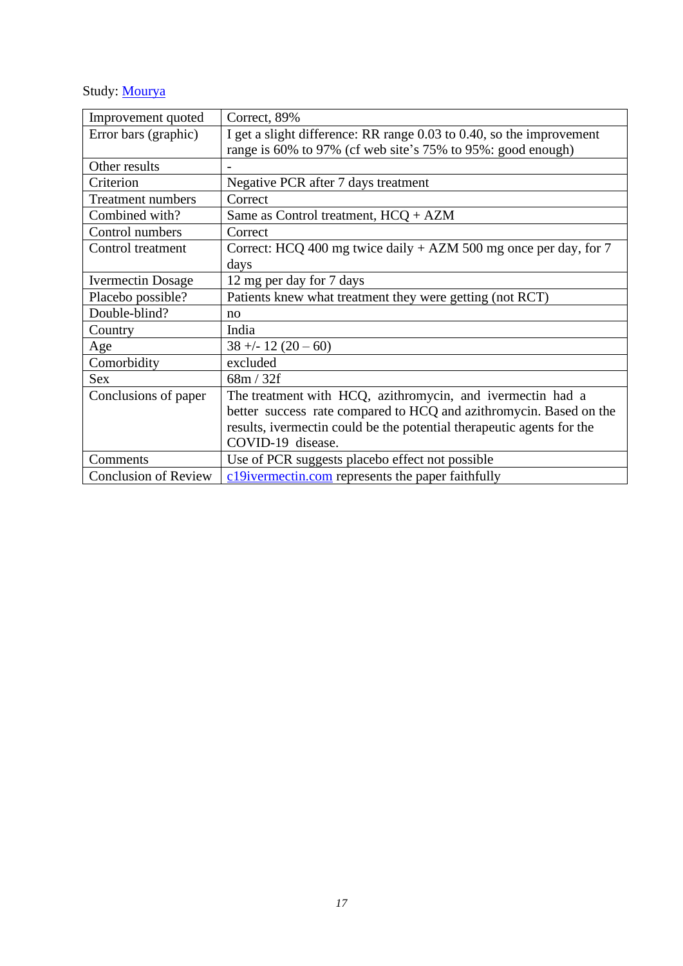# Study: [Mourya](https://ijhcr.com/index.php/ijhcr/article/view/1263/1064)

| Improvement quoted          | Correct, 89%                                                          |
|-----------------------------|-----------------------------------------------------------------------|
| Error bars (graphic)        | I get a slight difference: RR range 0.03 to 0.40, so the improvement  |
|                             | range is 60% to 97% (cf web site's 75% to 95%: good enough)           |
| Other results               |                                                                       |
| Criterion                   | Negative PCR after 7 days treatment                                   |
| <b>Treatment numbers</b>    | Correct                                                               |
| Combined with?              | Same as Control treatment, $HCO + AZM$                                |
| Control numbers             | Correct                                                               |
| Control treatment           | Correct: HCQ 400 mg twice daily $+$ AZM 500 mg once per day, for 7    |
|                             | days                                                                  |
| <b>Ivermectin Dosage</b>    | 12 mg per day for 7 days                                              |
| Placebo possible?           | Patients knew what treatment they were getting (not RCT)              |
| Double-blind?               | no                                                                    |
| Country                     | India                                                                 |
| Age                         | $38 + - 12(20 - 60)$                                                  |
| Comorbidity                 | excluded                                                              |
| Sex                         | 68m / 32f                                                             |
| Conclusions of paper        | The treatment with HCQ, azithromycin, and ivermectin had a            |
|                             | better success rate compared to HCQ and azithromycin. Based on the    |
|                             | results, ivermectin could be the potential therapeutic agents for the |
|                             | COVID-19 disease.                                                     |
| Comments                    | Use of PCR suggests placebo effect not possible                       |
| <b>Conclusion of Review</b> | c19ivermectin.com represents the paper faithfully                     |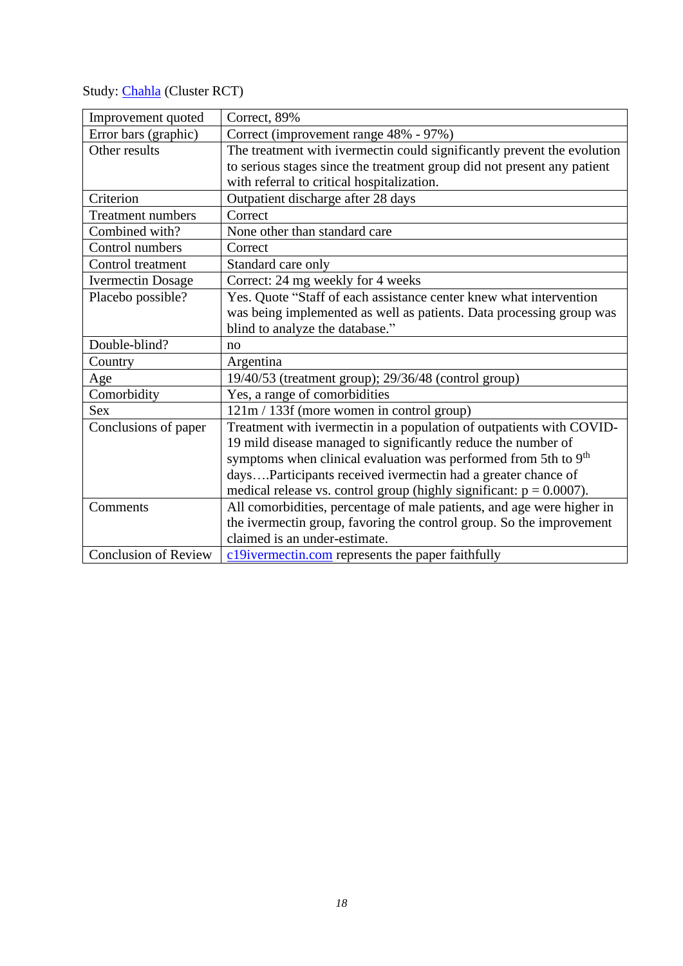Study: [Chahla](https://assets.researchsquare.com/files/rs-495945/v1/7f0b45bc-8603-44a3-aee3-65dbb6767689.pdf?c=1621973002) (Cluster RCT)

| Improvement quoted          | Correct, 89%                                                                |
|-----------------------------|-----------------------------------------------------------------------------|
| Error bars (graphic)        | Correct (improvement range 48% - 97%)                                       |
| Other results               | The treatment with ivermectin could significantly prevent the evolution     |
|                             | to serious stages since the treatment group did not present any patient     |
|                             | with referral to critical hospitalization.                                  |
| Criterion                   | Outpatient discharge after 28 days                                          |
| <b>Treatment numbers</b>    | Correct                                                                     |
| Combined with?              | None other than standard care                                               |
| Control numbers             | Correct                                                                     |
| Control treatment           | Standard care only                                                          |
| <b>Ivermectin Dosage</b>    | Correct: 24 mg weekly for 4 weeks                                           |
| Placebo possible?           | Yes. Quote "Staff of each assistance center knew what intervention          |
|                             | was being implemented as well as patients. Data processing group was        |
|                             | blind to analyze the database."                                             |
| Double-blind?               | no                                                                          |
| Country                     | Argentina                                                                   |
| Age                         | 19/40/53 (treatment group); 29/36/48 (control group)                        |
| Comorbidity                 | Yes, a range of comorbidities                                               |
| Sex                         | 121m / 133f (more women in control group)                                   |
| Conclusions of paper        | Treatment with ivermectin in a population of outpatients with COVID-        |
|                             | 19 mild disease managed to significantly reduce the number of               |
|                             | symptoms when clinical evaluation was performed from 5th to 9 <sup>th</sup> |
|                             | daysParticipants received ivermectin had a greater chance of                |
|                             | medical release vs. control group (highly significant: $p = 0.0007$ ).      |
| Comments                    | All comorbidities, percentage of male patients, and age were higher in      |
|                             | the ivermectin group, favoring the control group. So the improvement        |
|                             | claimed is an under-estimate.                                               |
| <b>Conclusion of Review</b> | c19ivermectin.com represents the paper faithfully                           |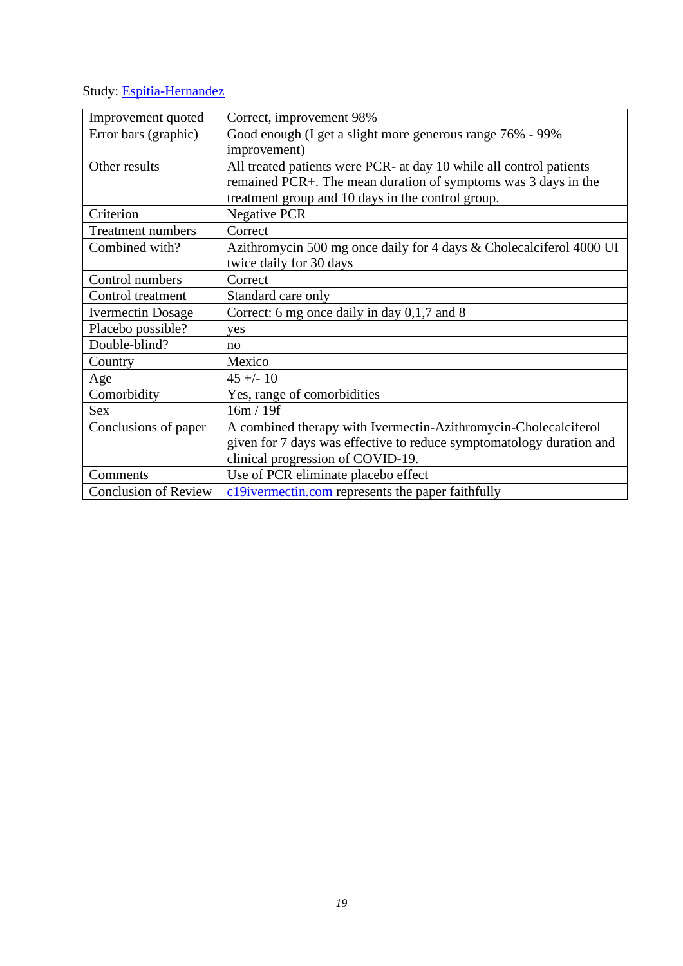Study: [Espitia-Hernandez](https://www.biomedres.info/biomedical-research/effects-of-ivermectinazithromycincholecalciferol-combined-therapy-on-covid19-infected-patients-a-proof-of-concept-study-14435.html)

| Improvement quoted          | Correct, improvement 98%                                             |
|-----------------------------|----------------------------------------------------------------------|
| Error bars (graphic)        | Good enough (I get a slight more generous range 76% - 99%            |
|                             | improvement)                                                         |
| Other results               | All treated patients were PCR- at day 10 while all control patients  |
|                             | remained PCR+. The mean duration of symptoms was 3 days in the       |
|                             | treatment group and 10 days in the control group.                    |
| Criterion                   | <b>Negative PCR</b>                                                  |
| <b>Treatment numbers</b>    | Correct                                                              |
| Combined with?              | Azithromycin 500 mg once daily for 4 days & Cholecalciferol 4000 UI  |
|                             | twice daily for 30 days                                              |
| Control numbers             | Correct                                                              |
| Control treatment           | Standard care only                                                   |
| <b>Ivermectin Dosage</b>    | Correct: 6 mg once daily in day 0,1,7 and 8                          |
| Placebo possible?           | yes                                                                  |
| Double-blind?               | no                                                                   |
| Country                     | Mexico                                                               |
| Age                         | $45 + (-10)$                                                         |
| Comorbidity                 | Yes, range of comorbidities                                          |
| <b>Sex</b>                  | 16m / 19f                                                            |
| Conclusions of paper        | A combined therapy with Ivermectin-Azithromycin-Cholecalciferol      |
|                             | given for 7 days was effective to reduce symptomatology duration and |
|                             | clinical progression of COVID-19.                                    |
| Comments                    | Use of PCR eliminate placebo effect                                  |
| <b>Conclusion of Review</b> | c19ivermectin.com represents the paper faithfully                    |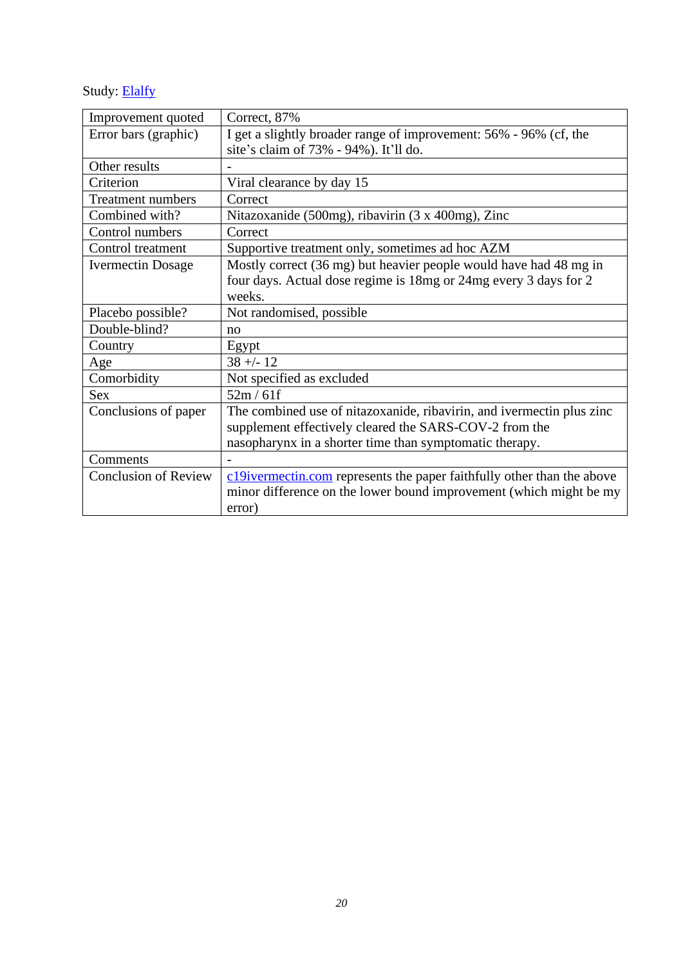Study: **[Elalfy](https://onlinelibrary.wiley.com/doi/epdf/10.1002/jmv.26880)** 

| Improvement quoted          | Correct, 87%                                                           |
|-----------------------------|------------------------------------------------------------------------|
| Error bars (graphic)        | I get a slightly broader range of improvement: 56% - 96% (cf, the      |
|                             | site's claim of 73% - 94%). It'll do.                                  |
| Other results               |                                                                        |
| Criterion                   | Viral clearance by day 15                                              |
| <b>Treatment numbers</b>    | Correct                                                                |
| Combined with?              | Nitazoxanide (500mg), ribavirin (3 x 400mg), Zinc                      |
| Control numbers             | Correct                                                                |
| Control treatment           | Supportive treatment only, sometimes ad hoc AZM                        |
| <b>Ivermectin Dosage</b>    | Mostly correct (36 mg) but heavier people would have had 48 mg in      |
|                             | four days. Actual dose regime is 18mg or 24mg every 3 days for 2       |
|                             | weeks.                                                                 |
| Placebo possible?           | Not randomised, possible                                               |
| Double-blind?               | no                                                                     |
| Country                     | Egypt                                                                  |
| Age                         | $38 + - 12$                                                            |
| Comorbidity                 | Not specified as excluded                                              |
| <b>Sex</b>                  | 52m/61f                                                                |
| Conclusions of paper        | The combined use of nitazoxanide, ribavirin, and ivermectin plus zinc  |
|                             | supplement effectively cleared the SARS-COV-2 from the                 |
|                             | nasopharynx in a shorter time than symptomatic therapy.                |
| Comments                    |                                                                        |
| <b>Conclusion of Review</b> | c19ivermectin.com represents the paper faithfully other than the above |
|                             | minor difference on the lower bound improvement (which might be my     |
|                             | error)                                                                 |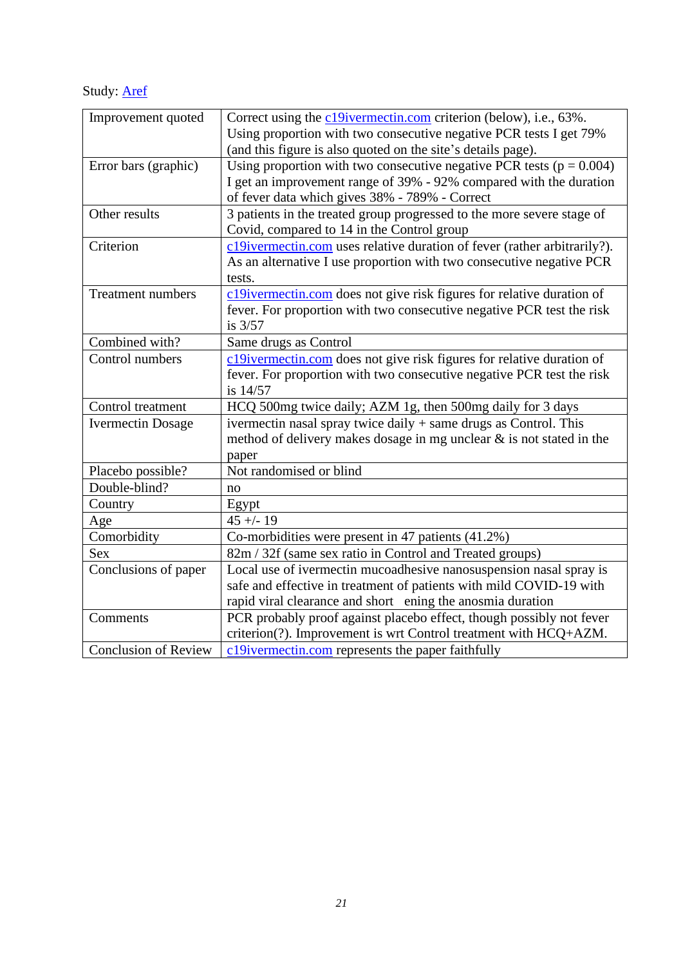Study: [Aref](https://www.dovepress.com/getfile.php?fileID=70515)

| Improvement quoted          | Correct using the c19ivermectin.com criterion (below), i.e., 63%.        |
|-----------------------------|--------------------------------------------------------------------------|
|                             | Using proportion with two consecutive negative PCR tests I get 79%       |
|                             | (and this figure is also quoted on the site's details page).             |
| Error bars (graphic)        | Using proportion with two consecutive negative PCR tests ( $p = 0.004$ ) |
|                             | I get an improvement range of 39% - 92% compared with the duration       |
|                             | of fever data which gives 38% - 789% - Correct                           |
| Other results               | 3 patients in the treated group progressed to the more severe stage of   |
|                             | Covid, compared to 14 in the Control group                               |
| Criterion                   | c19ivermectin.com uses relative duration of fever (rather arbitrarily?). |
|                             | As an alternative I use proportion with two consecutive negative PCR     |
|                             | tests.                                                                   |
| <b>Treatment numbers</b>    | c19ivermectin.com does not give risk figures for relative duration of    |
|                             | fever. For proportion with two consecutive negative PCR test the risk    |
|                             | is $3/57$                                                                |
| Combined with?              | Same drugs as Control                                                    |
| Control numbers             | c19ivermectin.com does not give risk figures for relative duration of    |
|                             | fever. For proportion with two consecutive negative PCR test the risk    |
|                             | is 14/57                                                                 |
| Control treatment           | HCQ 500mg twice daily; AZM 1g, then 500mg daily for 3 days               |
| <b>Ivermectin Dosage</b>    | ivermectin nasal spray twice daily + same drugs as Control. This         |
|                             | method of delivery makes dosage in mg unclear $\&$ is not stated in the  |
|                             | paper                                                                    |
| Placebo possible?           | Not randomised or blind                                                  |
| Double-blind?               | no                                                                       |
| Country                     | Egypt                                                                    |
| Age                         | $45 + - 19$                                                              |
| Comorbidity                 | Co-morbidities were present in 47 patients (41.2%)                       |
| <b>Sex</b>                  | 82m / 32f (same sex ratio in Control and Treated groups)                 |
| Conclusions of paper        | Local use of ivermectin mucoadhesive nanosuspension nasal spray is       |
|                             | safe and effective in treatment of patients with mild COVID-19 with      |
|                             | rapid viral clearance and short ening the anosmia duration               |
| Comments                    | PCR probably proof against placebo effect, though possibly not fever     |
|                             | criterion(?). Improvement is wrt Control treatment with HCQ+AZM.         |
| <b>Conclusion of Review</b> | c19ivermectin.com represents the paper faithfully                        |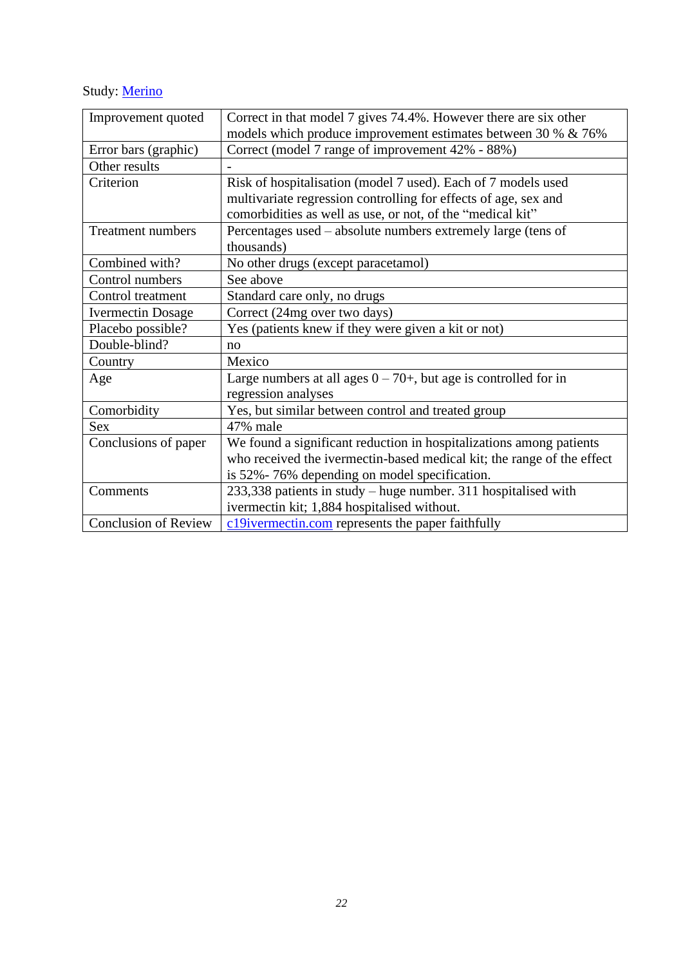# Study: [Merino](https://c19ivermectin.com/merino.html)

| Improvement quoted          | Correct in that model 7 gives 74.4%. However there are six other       |
|-----------------------------|------------------------------------------------------------------------|
|                             | models which produce improvement estimates between 30 % & 76%          |
| Error bars (graphic)        | Correct (model 7 range of improvement 42% - 88%)                       |
| Other results               |                                                                        |
| Criterion                   | Risk of hospitalisation (model 7 used). Each of 7 models used          |
|                             | multivariate regression controlling for effects of age, sex and        |
|                             | comorbidities as well as use, or not, of the "medical kit"             |
| <b>Treatment numbers</b>    | Percentages used – absolute numbers extremely large (tens of           |
|                             | thousands)                                                             |
| Combined with?              | No other drugs (except paracetamol)                                    |
| Control numbers             | See above                                                              |
| Control treatment           | Standard care only, no drugs                                           |
| <b>Ivermectin Dosage</b>    | Correct (24mg over two days)                                           |
| Placebo possible?           | Yes (patients knew if they were given a kit or not)                    |
| Double-blind?               | no                                                                     |
| Country                     | Mexico                                                                 |
| Age                         | Large numbers at all ages $0 - 70 +$ , but age is controlled for in    |
|                             | regression analyses                                                    |
| Comorbidity                 | Yes, but similar between control and treated group                     |
| <b>Sex</b>                  | 47% male                                                               |
| Conclusions of paper        | We found a significant reduction in hospitalizations among patients    |
|                             | who received the ivermectin-based medical kit; the range of the effect |
|                             | is 52%-76% depending on model specification.                           |
| Comments                    | 233,338 patients in study – huge number. 311 hospitalised with         |
|                             | ivermectin kit; 1,884 hospitalised without.                            |
| <b>Conclusion of Review</b> | c19ivermectin.com represents the paper faithfully                      |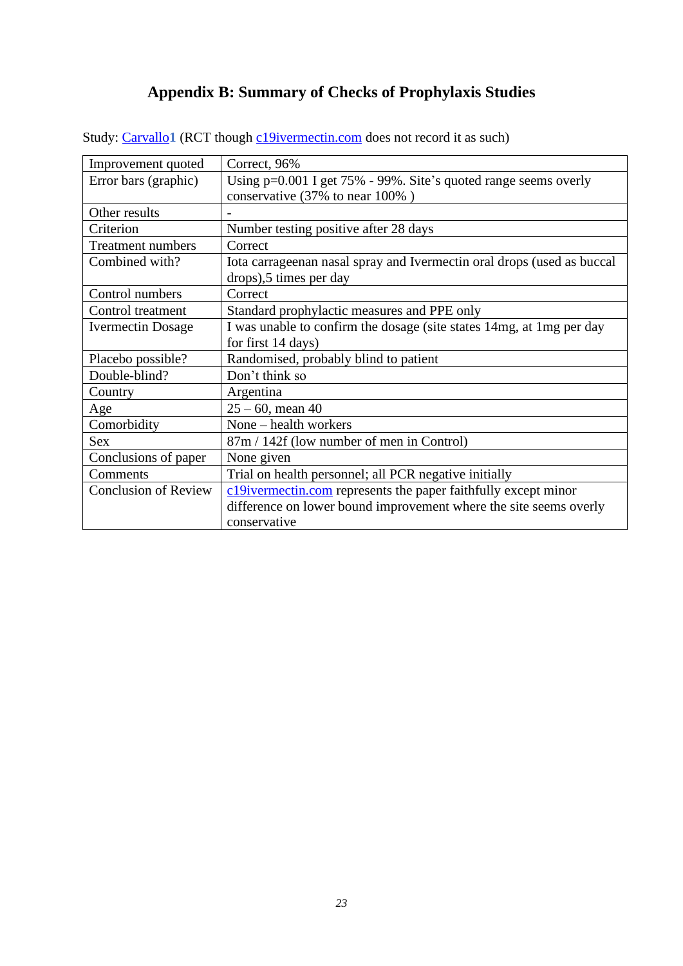# **Appendix B: Summary of Checks of Prophylaxis Studies**

| Improvement quoted          | Correct, 96%                                                           |
|-----------------------------|------------------------------------------------------------------------|
| Error bars (graphic)        | Using $p=0.001$ I get 75% - 99%. Site's quoted range seems overly      |
|                             | conservative (37% to near 100%)                                        |
| Other results               |                                                                        |
| Criterion                   | Number testing positive after 28 days                                  |
| <b>Treatment numbers</b>    | Correct                                                                |
| Combined with?              | Iota carrageenan nasal spray and Ivermectin oral drops (used as buccal |
|                             | drops),5 times per day                                                 |
| Control numbers             | Correct                                                                |
| Control treatment           | Standard prophylactic measures and PPE only                            |
| <b>Ivermectin Dosage</b>    | I was unable to confirm the dosage (site states 14mg, at 1mg per day   |
|                             | for first 14 days)                                                     |
| Placebo possible?           | Randomised, probably blind to patient                                  |
| Double-blind?               | Don't think so                                                         |
| Country                     | Argentina                                                              |
| Age                         | $25 - 60$ , mean 40                                                    |
| Comorbidity                 | None – health workers                                                  |
| <b>Sex</b>                  | 87m / 142f (low number of men in Control)                              |
| Conclusions of paper        | None given                                                             |
| Comments                    | Trial on health personnel; all PCR negative initially                  |
| <b>Conclusion of Review</b> | c19ivermectin.com represents the paper faithfully except minor         |
|                             | difference on lower bound improvement where the site seems overly      |
|                             | conservative                                                           |

<span id="page-22-0"></span>Study: [Carvallo](https://clinicaltrials.gov/ct2/show/results/NCT04425850?view=results)<sup>1</sup> (RCT though c<sup>19</sup>ivermectin.com does not record it as such)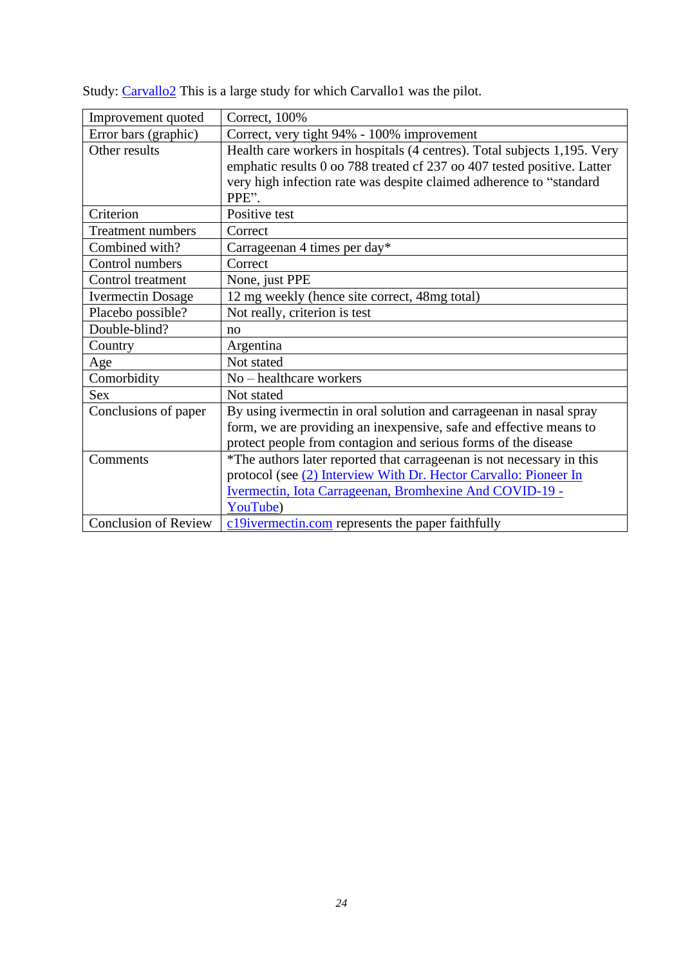| Improvement quoted          | Correct, 100%                                                                                                                                                                                                                       |
|-----------------------------|-------------------------------------------------------------------------------------------------------------------------------------------------------------------------------------------------------------------------------------|
| Error bars (graphic)        | Correct, very tight 94% - 100% improvement                                                                                                                                                                                          |
| Other results               | Health care workers in hospitals (4 centres). Total subjects 1,195. Very<br>emphatic results 0 oo 788 treated cf 237 oo 407 tested positive. Latter<br>very high infection rate was despite claimed adherence to "standard<br>PPE". |
| Criterion                   | Positive test                                                                                                                                                                                                                       |
| <b>Treatment numbers</b>    | Correct                                                                                                                                                                                                                             |
| Combined with?              | Carrageenan 4 times per day*                                                                                                                                                                                                        |
| Control numbers             | Correct                                                                                                                                                                                                                             |
| Control treatment           | None, just PPE                                                                                                                                                                                                                      |
| <b>Ivermectin Dosage</b>    | 12 mg weekly (hence site correct, 48mg total)                                                                                                                                                                                       |
| Placebo possible?           | Not really, criterion is test                                                                                                                                                                                                       |
| Double-blind?               | no                                                                                                                                                                                                                                  |
| Country                     | Argentina                                                                                                                                                                                                                           |
| Age                         | Not stated                                                                                                                                                                                                                          |
| Comorbidity                 | No - healthcare workers                                                                                                                                                                                                             |
| <b>Sex</b>                  | Not stated                                                                                                                                                                                                                          |
| Conclusions of paper        | By using ivermectin in oral solution and carrageenan in nasal spray                                                                                                                                                                 |
|                             | form, we are providing an inexpensive, safe and effective means to                                                                                                                                                                  |
|                             | protect people from contagion and serious forms of the disease                                                                                                                                                                      |
| Comments                    | *The authors later reported that carrage enan is not necessary in this                                                                                                                                                              |
|                             | protocol (see (2) Interview With Dr. Hector Carvallo: Pioneer In                                                                                                                                                                    |
|                             | Ivermectin, Iota Carrageenan, Bromhexine And COVID-19 -                                                                                                                                                                             |
|                             | YouTube)                                                                                                                                                                                                                            |
| <b>Conclusion of Review</b> | c19ivermectin.com represents the paper faithfully                                                                                                                                                                                   |

Study: [Carvallo2](https://medicalpressopenaccess.com/upload/1605709669_1007.pdf) This is a large study for which Carvallo1 was the pilot.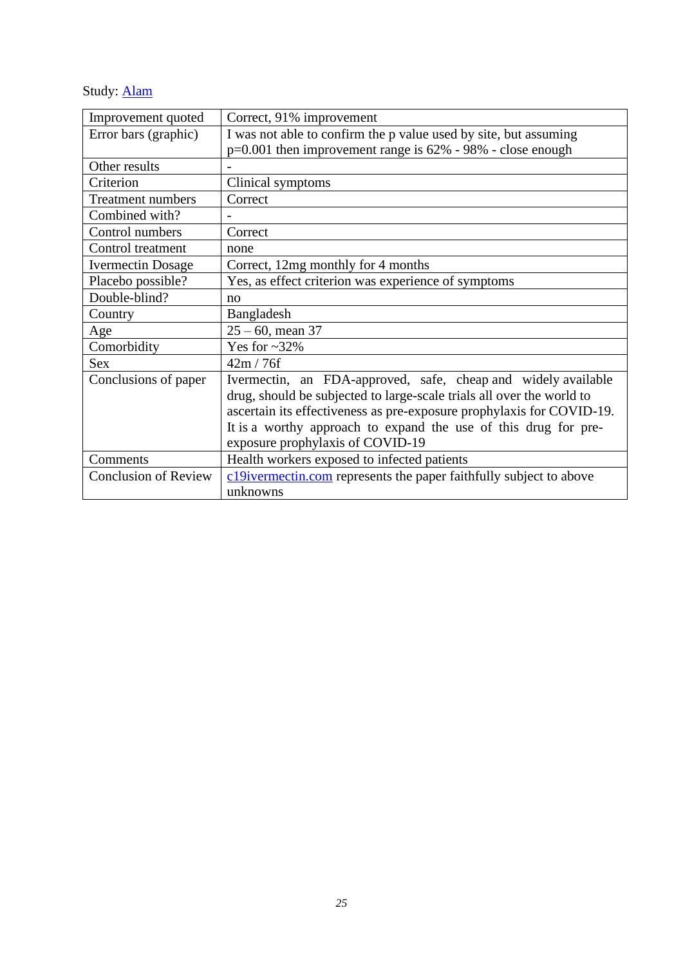Study: <u>[Alam](https://www.ejmed.org/index.php/ejmed/article/view/599/337)</u>

| Improvement quoted          | Correct, 91% improvement                                              |
|-----------------------------|-----------------------------------------------------------------------|
| Error bars (graphic)        | I was not able to confirm the p value used by site, but assuming      |
|                             | $p=0.001$ then improvement range is 62% - 98% - close enough          |
| Other results               |                                                                       |
| Criterion                   | Clinical symptoms                                                     |
| <b>Treatment numbers</b>    | Correct                                                               |
| Combined with?              |                                                                       |
| Control numbers             | Correct                                                               |
| Control treatment           | none                                                                  |
| <b>Ivermectin Dosage</b>    | Correct, 12mg monthly for 4 months                                    |
| Placebo possible?           | Yes, as effect criterion was experience of symptoms                   |
| Double-blind?               | no                                                                    |
| Country                     | Bangladesh                                                            |
| Age                         | $25 - 60$ , mean 37                                                   |
| Comorbidity                 | Yes for $\sim 32\%$                                                   |
| <b>Sex</b>                  | 42m / 76f                                                             |
| Conclusions of paper        | Ivermectin, an FDA-approved, safe, cheap and widely available         |
|                             | drug, should be subjected to large-scale trials all over the world to |
|                             | ascertain its effectiveness as pre-exposure prophylaxis for COVID-19. |
|                             | It is a worthy approach to expand the use of this drug for pre-       |
|                             | exposure prophylaxis of COVID-19                                      |
| Comments                    | Health workers exposed to infected patients                           |
| <b>Conclusion of Review</b> | c19ivermectin.com represents the paper faithfully subject to above    |
|                             | unknowns                                                              |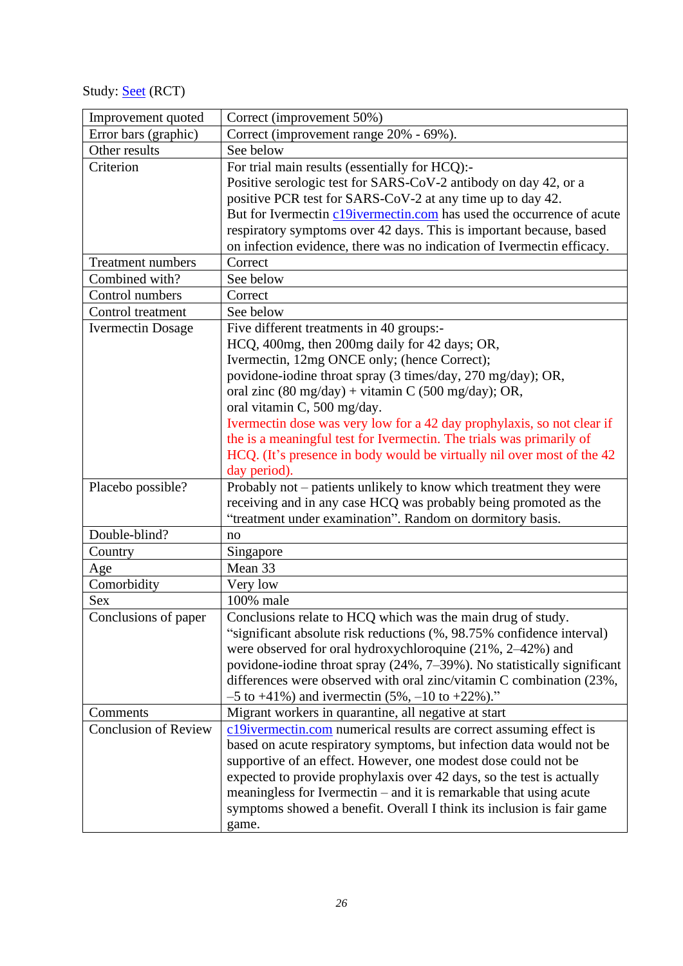Study: **[Seet](https://www.ijidonline.com/action/showPdf?pii=S1201-9712%2821%2900345-3)** (RCT)

| Improvement quoted          | Correct (improvement 50%)                                               |
|-----------------------------|-------------------------------------------------------------------------|
| Error bars (graphic)        | Correct (improvement range 20% - 69%).                                  |
| Other results               | See below                                                               |
| Criterion                   | For trial main results (essentially for HCQ):-                          |
|                             | Positive serologic test for SARS-CoV-2 antibody on day 42, or a         |
|                             | positive PCR test for SARS-CoV-2 at any time up to day 42.              |
|                             | But for Ivermectin c19ivermectin.com has used the occurrence of acute   |
|                             | respiratory symptoms over 42 days. This is important because, based     |
|                             | on infection evidence, there was no indication of Ivermectin efficacy.  |
| <b>Treatment numbers</b>    | Correct                                                                 |
| Combined with?              | See below                                                               |
| Control numbers             | Correct                                                                 |
| Control treatment           | See below                                                               |
| <b>Ivermectin Dosage</b>    | Five different treatments in 40 groups:-                                |
|                             | HCQ, 400mg, then 200mg daily for 42 days; OR,                           |
|                             | Ivermectin, 12mg ONCE only; (hence Correct);                            |
|                             | povidone-iodine throat spray (3 times/day, 270 mg/day); OR,             |
|                             | oral zinc (80 mg/day) + vitamin C (500 mg/day); OR,                     |
|                             | oral vitamin C, 500 mg/day.                                             |
|                             | Ivermectin dose was very low for a 42 day prophylaxis, so not clear if  |
|                             | the is a meaningful test for Ivermectin. The trials was primarily of    |
|                             | HCQ. (It's presence in body would be virtually nil over most of the 42  |
|                             | day period).                                                            |
| Placebo possible?           | Probably not - patients unlikely to know which treatment they were      |
|                             | receiving and in any case HCQ was probably being promoted as the        |
|                             | "treatment under examination". Random on dormitory basis.               |
| Double-blind?               | no                                                                      |
| Country                     | Singapore                                                               |
| Age                         | Mean 33                                                                 |
| Comorbidity                 | Very low                                                                |
| <b>Sex</b>                  | 100% male                                                               |
| Conclusions of paper        | Conclusions relate to HCQ which was the main drug of study.             |
|                             | "significant absolute risk reductions (%, 98.75% confidence interval)   |
|                             | were observed for oral hydroxychloroquine $(21\%, 2-42\%)$ and          |
|                             | povidone-iodine throat spray (24%, 7-39%). No statistically significant |
|                             | differences were observed with oral zinc/vitamin C combination (23%,    |
|                             | $-5$ to $+41\%$ ) and ivermectin (5%, $-10$ to $+22\%$ )."              |
| Comments                    | Migrant workers in quarantine, all negative at start                    |
| <b>Conclusion of Review</b> | c19ivermectin.com numerical results are correct assuming effect is      |
|                             | based on acute respiratory symptoms, but infection data would not be    |
|                             | supportive of an effect. However, one modest dose could not be          |
|                             | expected to provide prophylaxis over 42 days, so the test is actually   |
|                             | meaningless for Ivermectin – and it is remarkable that using acute      |
|                             | symptoms showed a benefit. Overall I think its inclusion is fair game   |
|                             | game.                                                                   |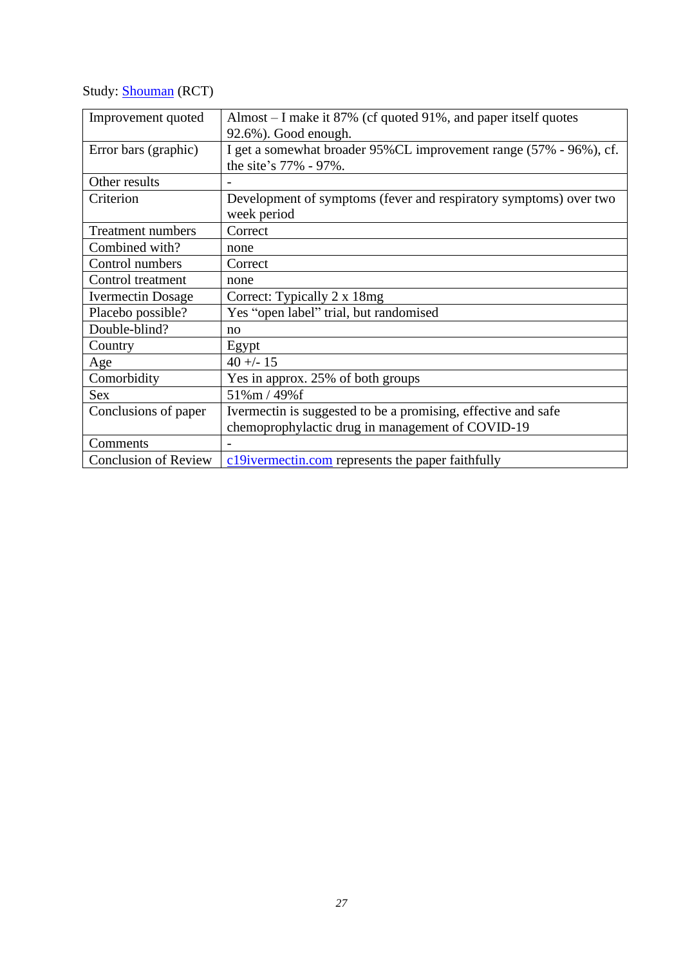# Study: [Shouman](https://www.jcdr.net/articles/PDF/14529/46795_CE%5bRa%5d_F(Sh)_PF1(SY_OM)_PFA_(OM)_PN(KM).pdf) (RCT)

| Improvement quoted          | Almost – I make it 87% (cf quoted 91%, and paper itself quotes     |
|-----------------------------|--------------------------------------------------------------------|
|                             | 92.6%). Good enough.                                               |
| Error bars (graphic)        | I get a somewhat broader 95% CL improvement range (57% - 96%), cf. |
|                             | the site's 77% - 97%.                                              |
| Other results               |                                                                    |
| Criterion                   | Development of symptoms (fever and respiratory symptoms) over two  |
|                             | week period                                                        |
| <b>Treatment numbers</b>    | Correct                                                            |
| Combined with?              | none                                                               |
| Control numbers             | Correct                                                            |
| Control treatment           | none                                                               |
| <b>Ivermectin Dosage</b>    | Correct: Typically 2 x 18mg                                        |
| Placebo possible?           | Yes "open label" trial, but randomised                             |
| Double-blind?               | no                                                                 |
| Country                     | Egypt                                                              |
| Age                         | $40 + - 15$                                                        |
| Comorbidity                 | Yes in approx. 25% of both groups                                  |
| Sex                         | 51%m / 49%f                                                        |
| Conclusions of paper        | Ivermectin is suggested to be a promising, effective and safe      |
|                             | chemoprophylactic drug in management of COVID-19                   |
| Comments                    |                                                                    |
| <b>Conclusion of Review</b> | c19ivermectin.com represents the paper faithfully                  |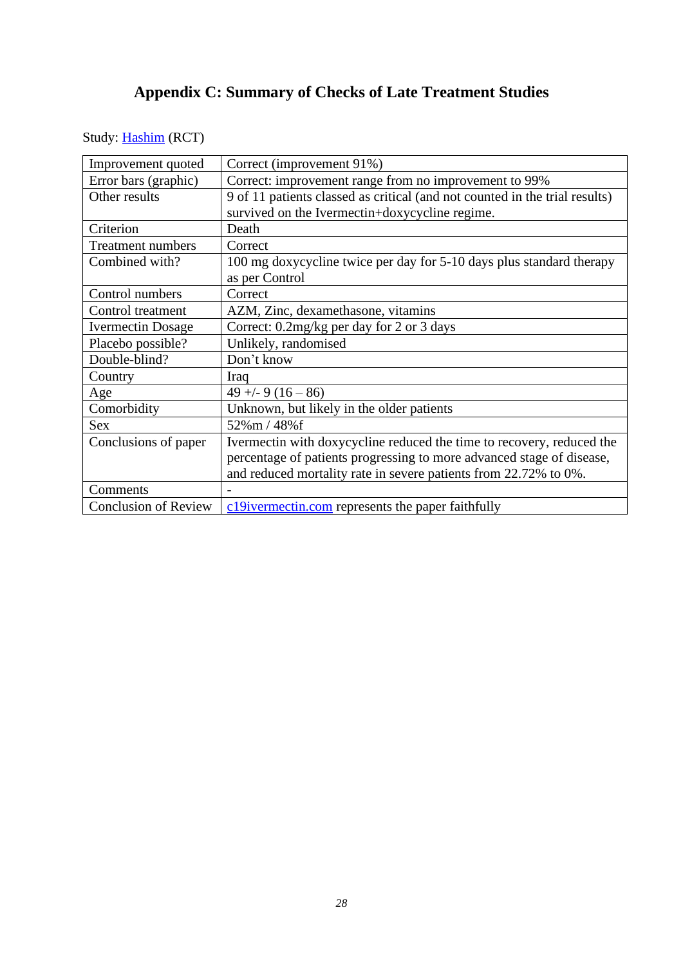# **Appendix C: Summary of Checks of Late Treatment Studies**

<span id="page-27-0"></span>Study: **[Hashim](http://www.iraqijms.net/upload/pdf/iraqijms60db8b76d3b1e.pdf)** (RCT)

| Improvement quoted          | Correct (improvement 91%)                                                   |
|-----------------------------|-----------------------------------------------------------------------------|
| Error bars (graphic)        | Correct: improvement range from no improvement to 99%                       |
| Other results               | 9 of 11 patients classed as critical (and not counted in the trial results) |
|                             | survived on the Ivermectin+doxycycline regime.                              |
| Criterion                   | Death                                                                       |
| <b>Treatment numbers</b>    | Correct                                                                     |
| Combined with?              | 100 mg doxycycline twice per day for 5-10 days plus standard therapy        |
|                             | as per Control                                                              |
| Control numbers             | Correct                                                                     |
| Control treatment           | AZM, Zinc, dexamethasone, vitamins                                          |
| <b>Ivermectin Dosage</b>    | Correct: 0.2mg/kg per day for 2 or 3 days                                   |
| Placebo possible?           | Unlikely, randomised                                                        |
| Double-blind?               | Don't know                                                                  |
| Country                     | Iraq                                                                        |
| Age                         | $49 + -9(16 - 86)$                                                          |
| Comorbidity                 | Unknown, but likely in the older patients                                   |
| <b>Sex</b>                  | 52%m / 48%f                                                                 |
| Conclusions of paper        | Ivermectin with doxycycline reduced the time to recovery, reduced the       |
|                             | percentage of patients progressing to more advanced stage of disease,       |
|                             | and reduced mortality rate in severe patients from 22.72% to 0%.            |
| Comments                    |                                                                             |
| <b>Conclusion of Review</b> | c19ivermectin.com represents the paper faithfully                           |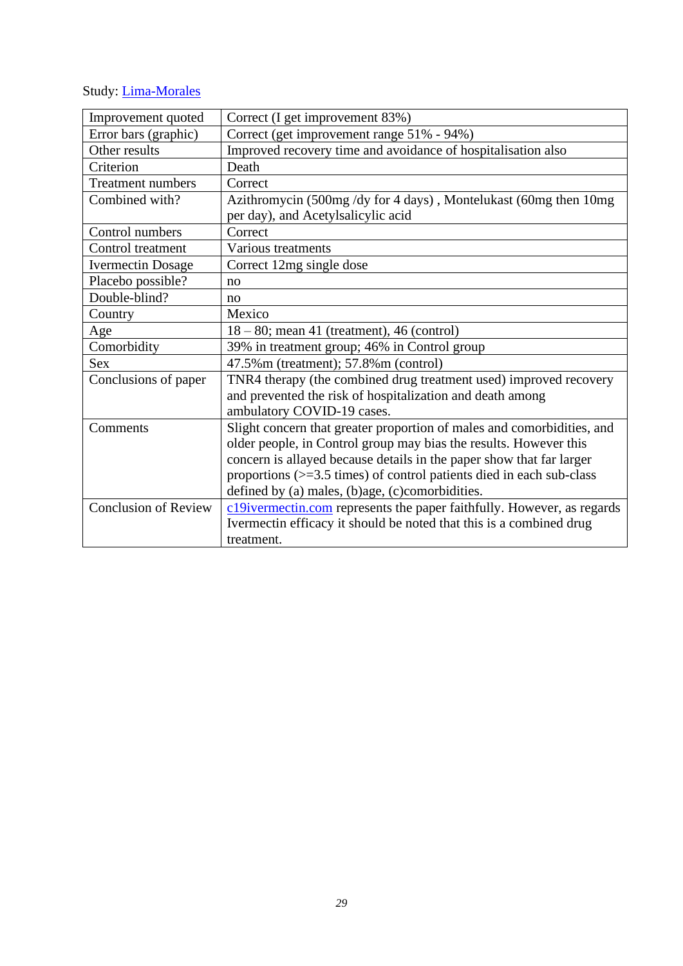# Study: [Lima-Morales](https://pdf.sciencedirectassets.com/272991/1-s2.0-S1201971221X00033/1-s2.0-S1201971221001004/main.pdf?X-Amz-Security-Token=IQoJb3JpZ2luX2VjEBIaCXVzLWVhc3QtMSJHMEUCIQDAVLy9T0lh5ec9MHczpUkT9z6%2FqABYSdk5zXsoCUR60gIgSybXrYoG2U2e5R5tkziGeLgnWFH1Qmc1wmnGLgxnhGkq%2BgMISxAEGgwwNTkwMDM1NDY4NjUiDIM0aFjbC9ySRUlP0yrXA8tJ8o4pKYyo0rZyljdwIuNA%2Fd7atBpehrpNnvbpTRIXS7KesbN5hB3Q8bjjaL48lfX%2BDMvCvMB5MNwAlHkuHKp7qkWbj8IskILviohq8%2BdMuOiLVmSkA06Zaf9cHvqG6PkRu%2BZ7820nyslYk3Z4bVRzmtpcokelpscdH6dgfV0POEu7oMFYZXSNj4ok4zPGgXiGNaqfx2W6wtiglVdcfP8zYbs6dAJ0wDjciAZgOcSxUnJi6mx7ATGhl%2BArgocffgX4dtl5YSUYNjQmT9A1TU5j%2BxTydNoUV07Xa0inAFqkdnNGxiiyU%2BMT2IePMrNLBiKLga2aAkdWXamC6TLD5TqahdB3ls%2FPHBTURBy5s2zTLkPrEKR8UX%2FVbs9s%2F0OUHxK6hNSjWrup3QVmZv7ObQTowiPnEiuLqUZN%2FpWFatGBxUYXpUz%2BbaUr1%2FLg5faJIl77FM9iFNlSsbClRGJXy%2BcRCtUBQmrLMqCQ24wgJ0J17oyFDJ8yzUj9IqTfq3VfZ7qHve8EOjSn97PdzQMXvekMt7xA9i8Ag2PNt86%2BrfKJjhUpyJmQjowNxw8NmzUyzUR%2BxMRL14A6xUainsLFl8C9KlxfMkfqSJ%2FoHVkRxm8Ed03idfORYjC6iZqJBjqlATTQTDA4k8smhDXZJNnhJSqKPcxz04yNeLRiZ%2BAOSyfzOwQSCIbh71EBVWZcGEkYbug134Gy4OFL0C90sTwngGErYpkw3vwmnkXmSr4eWpYOZslMs%2BXsiD0QY0xCEgW2aihu2KMZl73VLfmT%2FBPWYnxKc8kxToqdOWDj3zSnFFshCAl2jJ2GT%2FO%2B5p9HpY8eH7b87t5YtbcFBt7BO1r8FRkwtS8bPw%3D%3D&X-Amz-Algorithm=AWS4-HMAC-SHA256&X-Amz-Date=20210825T190418Z&X-Amz-SignedHeaders=host&X-Amz-Expires=300&X-Amz-Credential=ASIAQ3PHCVTY3ATNJ3EK%2F20210825%2Fus-east-1%2Fs3%2Faws4_request&X-Amz-Signature=6a465bd4aa89d4a2502b70939b09e8b7ddde4ecd6db34125954852890693904d&hash=37fd859a8c4a5cbd3b8128e7b9fdf33759d81319a361a4d5586966e10fb39a77&host=68042c943591013ac2b2430a89b270f6af2c76d8dfd086a07176afe7c76c2c61&pii=S1201971221001004&tid=spdf-e094e230-8e3a-4d6e-a89b-5ef2b17970d5&sid=23a240f87295e04c4c2827843d51f3257385gxrqb&type=client)

| Improvement quoted          | Correct (I get improvement 83%)                                                |
|-----------------------------|--------------------------------------------------------------------------------|
| Error bars (graphic)        | Correct (get improvement range 51% - 94%)                                      |
| Other results               | Improved recovery time and avoidance of hospitalisation also                   |
| Criterion                   | Death                                                                          |
| <b>Treatment numbers</b>    | Correct                                                                        |
| Combined with?              | Azithromycin (500mg/dy for 4 days), Montelukast (60mg then 10mg                |
|                             | per day), and Acetylsalicylic acid                                             |
| Control numbers             | Correct                                                                        |
| Control treatment           | Various treatments                                                             |
| <b>Ivermectin Dosage</b>    | Correct 12mg single dose                                                       |
| Placebo possible?           | no                                                                             |
| Double-blind?               | no                                                                             |
| Country                     | Mexico                                                                         |
| Age                         | $18-80$ ; mean 41 (treatment), 46 (control)                                    |
| Comorbidity                 | 39% in treatment group; 46% in Control group                                   |
| <b>Sex</b>                  | 47.5% m (treatment); 57.8% m (control)                                         |
| Conclusions of paper        | TNR4 therapy (the combined drug treatment used) improved recovery              |
|                             | and prevented the risk of hospitalization and death among                      |
|                             | ambulatory COVID-19 cases.                                                     |
| Comments                    | Slight concern that greater proportion of males and comorbidities, and         |
|                             | older people, in Control group may bias the results. However this              |
|                             | concern is allayed because details in the paper show that far larger           |
|                             | proportions $(>=3.5 \text{ times})$ of control patients died in each sub-class |
|                             | defined by (a) males, (b)age, (c)comorbidities.                                |
| <b>Conclusion of Review</b> | c19ivermectin.com represents the paper faithfully. However, as regards         |
|                             | Ivermectin efficacy it should be noted that this is a combined drug            |
|                             | treatment.                                                                     |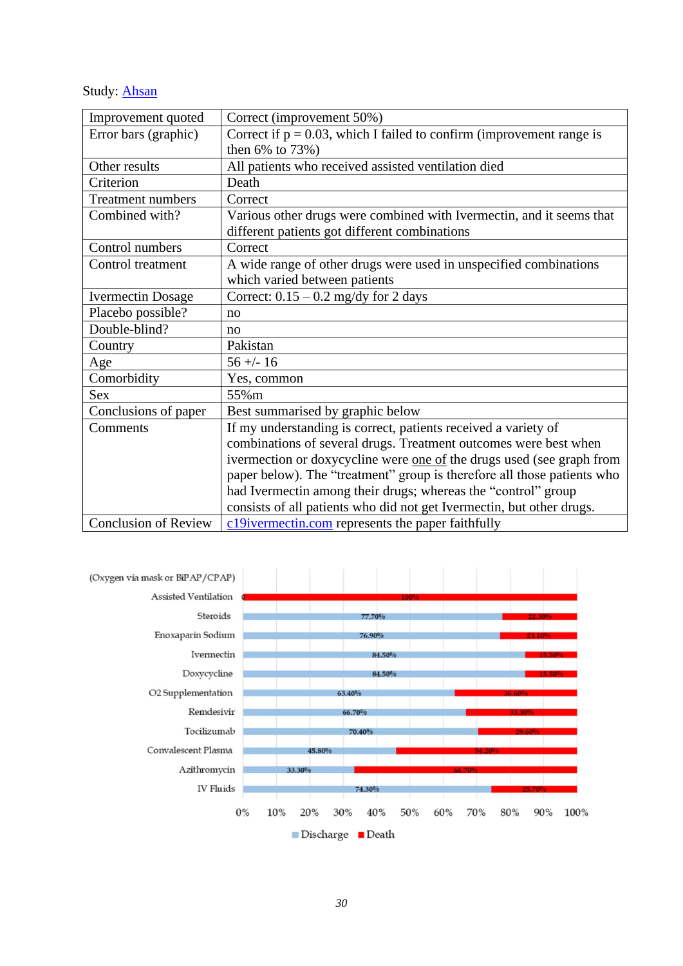Study: **[Ahsan](https://www.cureus.com/articles/56545-clinical-variants-characteristics-and-outcomes-among-covid-19-patients-a-case-series-analysis-at-a-tertiary-care-hospital-in-karachi-pakistan)** 

| Improvement quoted          | Correct (improvement 50%)                                               |
|-----------------------------|-------------------------------------------------------------------------|
| Error bars (graphic)        | Correct if $p = 0.03$ , which I failed to confirm (improvement range is |
|                             | then $6\%$ to $73\%)$                                                   |
| Other results               | All patients who received assisted ventilation died                     |
| Criterion                   | Death                                                                   |
| Treatment numbers           | Correct                                                                 |
| Combined with?              | Various other drugs were combined with Ivermectin, and it seems that    |
|                             | different patients got different combinations                           |
| Control numbers             | Correct                                                                 |
| Control treatment           | A wide range of other drugs were used in unspecified combinations       |
|                             | which varied between patients                                           |
| <b>Ivermectin Dosage</b>    | Correct: $0.15 - 0.2$ mg/dy for 2 days                                  |
| Placebo possible?           | no                                                                      |
| Double-blind?               | no                                                                      |
| Country                     | Pakistan                                                                |
| Age                         | $56 + - 16$                                                             |
| Comorbidity                 | Yes, common                                                             |
| <b>Sex</b>                  | 55%m                                                                    |
| Conclusions of paper        | Best summarised by graphic below                                        |
| Comments                    | If my understanding is correct, patients received a variety of          |
|                             | combinations of several drugs. Treatment outcomes were best when        |
|                             | ivermection or doxycycline were one of the drugs used (see graph from   |
|                             | paper below). The "treatment" group is therefore all those patients who |
|                             | had Ivermectin among their drugs; whereas the "control" group           |
|                             | consists of all patients who did not get Ivermectin, but other drugs.   |
| <b>Conclusion of Review</b> | c19ivermectin.com represents the paper faithfully                       |

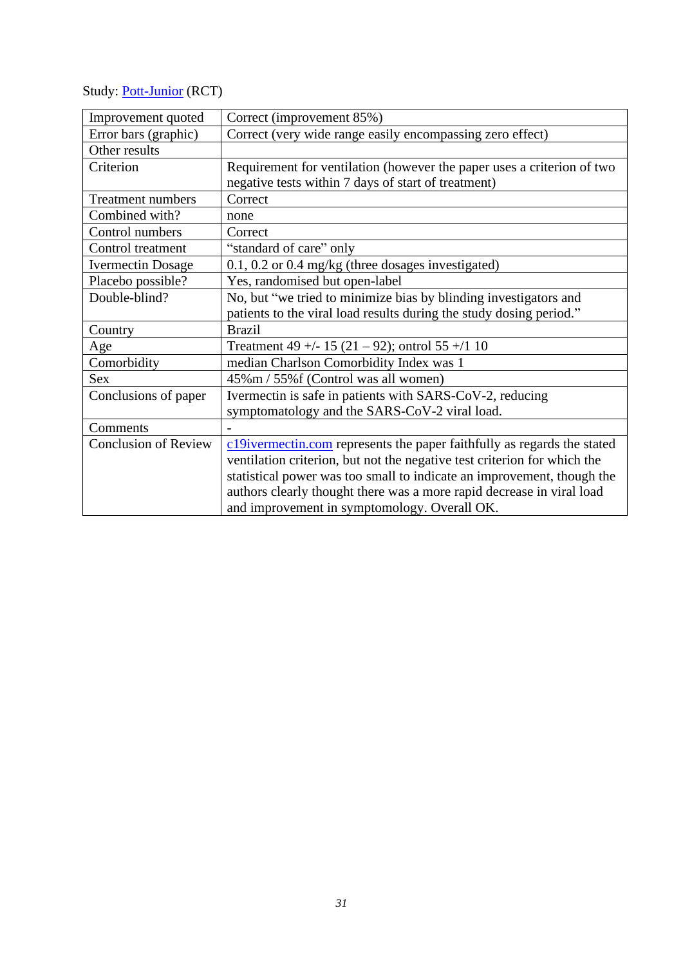Study: **[Pott-Junior](https://pdf.sciencedirectassets.com/305756/1-s2.0-S2214750020X00023/1-s2.0-S2214750021000445/main.pdf?X-Amz-Security-Token=IQoJb3JpZ2luX2VjEB4aCXVzLWVhc3QtMSJGMEQCIAsW7fysPPDWoafBuLziwIirOpBrzoYYR31JCKOREIGzAiAlNcqhT2mB253pyfp9stQ%2BTTJ8pfDbNtWzye3Uj2cyDSr6AwhXEAQaDDA1OTAwMzU0Njg2NSIMFX96pCjQmr5cIyYYKtcDedBNN31Tmzk5keXm4d%2F1p0jpU2X3PfBZQdQJOfZUklasrmFATDF%2B%2FBH0RDQcAo8y2upxBwO7mTgAkXmMZiCqkP0l4Ch4GPBJw4MVhK%2FomMBXbBFCi7yVarfxGKS7mfnwGx505nr3L%2FmTbMW3lD2iEshl0I6ETy07jEsfxv6v9NSfiklxk%2B5CCDNS6v5toHaasqP7VaZfvxZ%2B%2B%2Fir%2BSgAJWbfTDeQPcLkFDsnbA0z93jwm1RZqIpz44xSPpTQ6G7p8MoWTOdtO3L2jm%2BwzegQsFQxf2%2B9YqtLxmdFlRCIQ4RRR%2BzUfGKSSbvgUMzS%2F6hrJzmMlq4T6y65XH5QztnyxBZhwNJqDm4YM2Jf2cz3TgfldhX%2F%2Bp8Hk4RKvvIjdcrVGP8hxrGQI5d11BajcEX9TVGCEL7QeycIC2X1NCoYI6IdwH4TiI1AIYY0ruO83qqMAFzOV0RXCOGrkG0izxtM4WgSpVP19edzdAaAf37pzqDO9657GkHuxteRnInnpiWXWBzvmxu5bwDL63uqeL%2F57vrL3LDQQ8e18zH6uQTh%2F1tvQxFAZS%2F7ZSzsCMjQmPSweawIOwRBR7z%2B5adq2e%2BR0HZSfKIlzPJVYFRKESLFhtdnDgNKHKD6ML3bnIkGOqYB8u96ZNRFkLi%2BHEMcIXe780m1HN6fdfQiyX53%2F23CCFWnfj2YObbmP412oKhkA1OsyJJPjTqfmIHvJ9Tss3IXbeOYqIzuOzAGnpPWDVJCteqJPnxV5kCdSaB1jzpWvMFrXxtZ1XevY%2BQL2U7FOsuLeUzUWK1OzZtVqmu3aHYVGvVWqLq%2B94KMxN0qcy55nPVd5Z0Hv3mEZaxSunKopestyKHr%2F2yzFQ%3D%3D&X-Amz-Algorithm=AWS4-HMAC-SHA256&X-Amz-Date=20210826T063832Z&X-Amz-SignedHeaders=host&X-Amz-Expires=300&X-Amz-Credential=ASIAQ3PHCVTY3QEJFMWV%2F20210826%2Fus-east-1%2Fs3%2Faws4_request&X-Amz-Signature=5dfa6d6b39ea02ee05904b8dc2248be5c03f0eb176322949a3f8fe4488721ab0&hash=82c04b3af3e1c843faa8aae274c5489bf9908dc99fb8201d978f272823158fff&host=68042c943591013ac2b2430a89b270f6af2c76d8dfd086a07176afe7c76c2c61&pii=S2214750021000445&tid=spdf-ca903b0f-8142-4446-936f-dac0943029df&sid=23a240f87295e04c4c2827843d51f3257385gxrqb&type=client)** (RCT)

| Improvement quoted          | Correct (improvement 85%)                                                |
|-----------------------------|--------------------------------------------------------------------------|
| Error bars (graphic)        | Correct (very wide range easily encompassing zero effect)                |
| Other results               |                                                                          |
| Criterion                   | Requirement for ventilation (however the paper uses a criterion of two   |
|                             | negative tests within 7 days of start of treatment)                      |
| <b>Treatment numbers</b>    | Correct                                                                  |
| Combined with?              | none                                                                     |
| Control numbers             | Correct                                                                  |
| Control treatment           | "standard of care" only                                                  |
| <b>Ivermectin Dosage</b>    | $0.1, 0.2$ or $0.4$ mg/kg (three dosages investigated)                   |
| Placebo possible?           | Yes, randomised but open-label                                           |
| Double-blind?               | No, but "we tried to minimize bias by blinding investigators and         |
|                             | patients to the viral load results during the study dosing period."      |
| Country                     | <b>Brazil</b>                                                            |
| Age                         | Treatment 49 +/- 15 (21 - 92); ontrol 55 +/1 10                          |
| Comorbidity                 | median Charlson Comorbidity Index was 1                                  |
| Sex                         | 45%m / 55%f (Control was all women)                                      |
| Conclusions of paper        | Ivermectin is safe in patients with SARS-CoV-2, reducing                 |
|                             | symptomatology and the SARS-CoV-2 viral load.                            |
| Comments                    |                                                                          |
| <b>Conclusion of Review</b> | c19ivermectin.com represents the paper faithfully as regards the stated  |
|                             | ventilation criterion, but not the negative test criterion for which the |
|                             | statistical power was too small to indicate an improvement, though the   |
|                             | authors clearly thought there was a more rapid decrease in viral load    |
|                             | and improvement in symptomology. Overall OK.                             |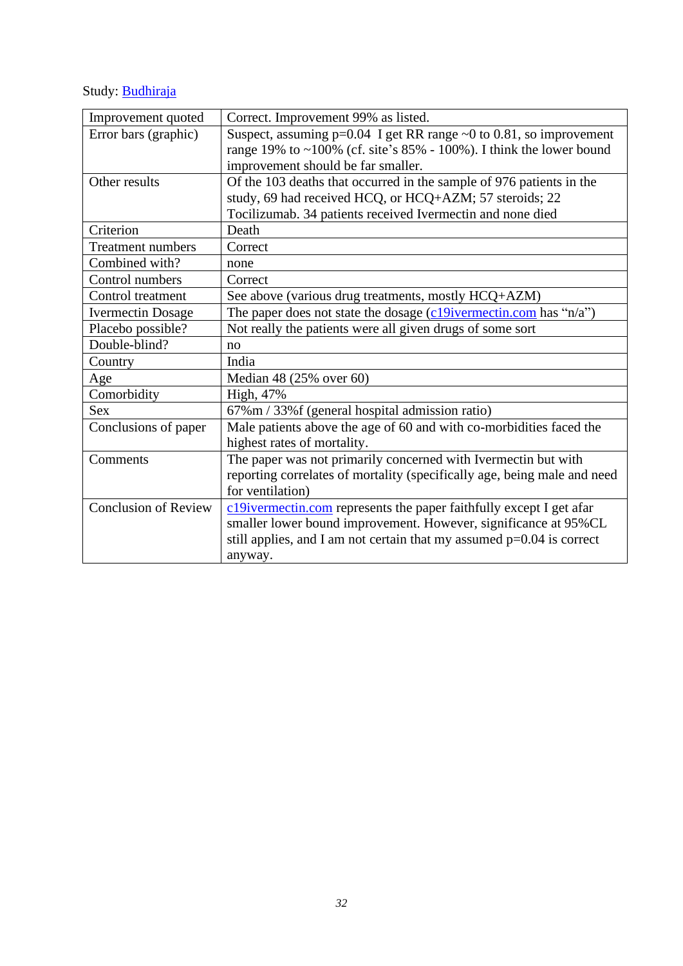# Study: **[Budhiraja](https://www.medrxiv.org/content/10.1101/2020.11.16.20232223v1.full.pdf)**

| Improvement quoted          | Correct. Improvement 99% as listed.                                        |
|-----------------------------|----------------------------------------------------------------------------|
| Error bars (graphic)        | Suspect, assuming $p=0.04$ I get RR range $\sim 0$ to 0.81, so improvement |
|                             | range 19% to $\sim$ 100% (cf. site's 85% - 100%). I think the lower bound  |
|                             | improvement should be far smaller.                                         |
| Other results               | Of the 103 deaths that occurred in the sample of 976 patients in the       |
|                             | study, 69 had received HCQ, or HCQ+AZM; 57 steroids; 22                    |
|                             | Tocilizumab. 34 patients received Ivermectin and none died                 |
| Criterion                   | Death                                                                      |
| <b>Treatment numbers</b>    | Correct                                                                    |
| Combined with?              | none                                                                       |
| Control numbers             | Correct                                                                    |
| Control treatment           | See above (various drug treatments, mostly HCQ+AZM)                        |
| <b>Ivermectin Dosage</b>    | The paper does not state the dosage $(c19$ ivermectin.com has "n/a")       |
| Placebo possible?           | Not really the patients were all given drugs of some sort                  |
| Double-blind?               | no                                                                         |
| Country                     | India                                                                      |
| Age                         | Median 48 (25% over 60)                                                    |
| Comorbidity                 | High, 47%                                                                  |
| <b>Sex</b>                  | 67% m / 33% f (general hospital admission ratio)                           |
| Conclusions of paper        | Male patients above the age of 60 and with co-morbidities faced the        |
|                             | highest rates of mortality.                                                |
| Comments                    | The paper was not primarily concerned with Ivermectin but with             |
|                             | reporting correlates of mortality (specifically age, being male and need   |
|                             | for ventilation)                                                           |
| <b>Conclusion of Review</b> | c19ivermectin.com represents the paper faithfully except I get afar        |
|                             | smaller lower bound improvement. However, significance at 95%CL            |
|                             | still applies, and I am not certain that my assumed $p=0.04$ is correct    |
|                             | anyway.                                                                    |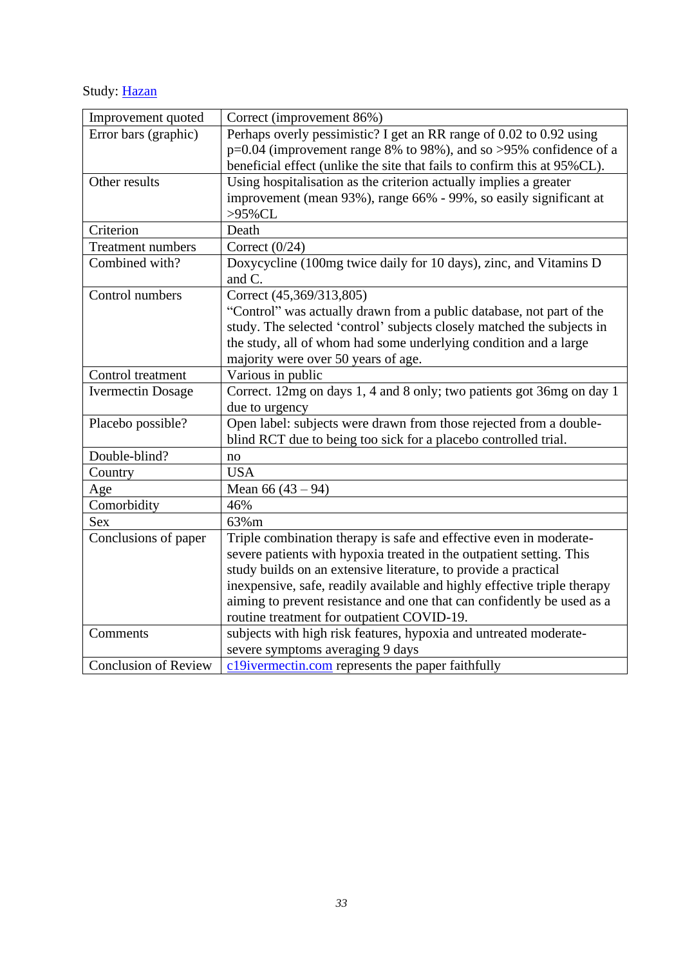Study: [Hazan](https://c19ivermectin.com/hazan.html)

| Improvement quoted          | Correct (improvement 86%)                                                |
|-----------------------------|--------------------------------------------------------------------------|
| Error bars (graphic)        | Perhaps overly pessimistic? I get an RR range of 0.02 to 0.92 using      |
|                             | p=0.04 (improvement range 8% to 98%), and so >95% confidence of a        |
|                             | beneficial effect (unlike the site that fails to confirm this at 95%CL). |
| Other results               | Using hospitalisation as the criterion actually implies a greater        |
|                             | improvement (mean 93%), range 66% - 99%, so easily significant at        |
|                             | >95%CL                                                                   |
| Criterion                   | Death                                                                    |
| <b>Treatment numbers</b>    | Correct $(0/24)$                                                         |
| Combined with?              | Doxycycline (100mg twice daily for 10 days), zinc, and Vitamins D        |
|                             | and C.                                                                   |
| Control numbers             | Correct (45,369/313,805)                                                 |
|                             | "Control" was actually drawn from a public database, not part of the     |
|                             | study. The selected 'control' subjects closely matched the subjects in   |
|                             | the study, all of whom had some underlying condition and a large         |
|                             | majority were over 50 years of age.                                      |
| Control treatment           | Various in public                                                        |
| <b>Ivermectin Dosage</b>    | Correct. 12mg on days 1, 4 and 8 only; two patients got 36mg on day 1    |
|                             | due to urgency                                                           |
| Placebo possible?           | Open label: subjects were drawn from those rejected from a double-       |
|                             | blind RCT due to being too sick for a placebo controlled trial.          |
| Double-blind?               | no                                                                       |
| Country                     | <b>USA</b>                                                               |
| Age                         | Mean $66(43-94)$                                                         |
| Comorbidity                 | 46%                                                                      |
| <b>Sex</b>                  | 63%m                                                                     |
| Conclusions of paper        | Triple combination therapy is safe and effective even in moderate-       |
|                             | severe patients with hypoxia treated in the outpatient setting. This     |
|                             | study builds on an extensive literature, to provide a practical          |
|                             | inexpensive, safe, readily available and highly effective triple therapy |
|                             | aiming to prevent resistance and one that can confidently be used as a   |
|                             | routine treatment for outpatient COVID-19.                               |
| Comments                    | subjects with high risk features, hypoxia and untreated moderate-        |
|                             | severe symptoms averaging 9 days                                         |
| <b>Conclusion of Review</b> | c19ivermectin.com represents the paper faithfully                        |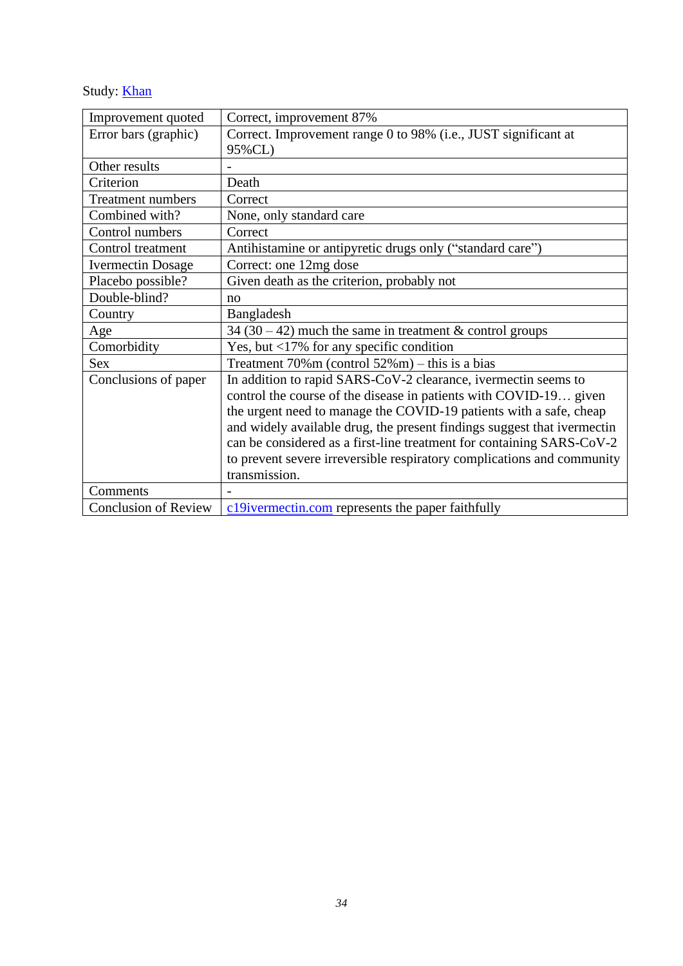Study: **[Khan](https://www.ncbi.nlm.nih.gov/pmc/articles/PMC7837160/)** 

| Improvement quoted          | Correct, improvement 87%                                                |
|-----------------------------|-------------------------------------------------------------------------|
| Error bars (graphic)        | Correct. Improvement range 0 to 98% (i.e., JUST significant at          |
|                             | 95%CL)                                                                  |
| Other results               |                                                                         |
| Criterion                   | Death                                                                   |
| <b>Treatment numbers</b>    | Correct                                                                 |
| Combined with?              | None, only standard care                                                |
| Control numbers             | Correct                                                                 |
| Control treatment           | Antihistamine or antipyretic drugs only ("standard care")               |
| <b>Ivermectin Dosage</b>    | Correct: one 12mg dose                                                  |
| Placebo possible?           | Given death as the criterion, probably not                              |
| Double-blind?               | no                                                                      |
| Country                     | Bangladesh                                                              |
| Age                         | 34 (30 – 42) much the same in treatment $&$ control groups              |
| Comorbidity                 | Yes, but <17% for any specific condition                                |
| Sex                         | Treatment $70\%$ m (control $52\%$ m) – this is a bias                  |
| Conclusions of paper        | In addition to rapid SARS-CoV-2 clearance, ivermectin seems to          |
|                             | control the course of the disease in patients with COVID-19 given       |
|                             | the urgent need to manage the COVID-19 patients with a safe, cheap      |
|                             | and widely available drug, the present findings suggest that ivermectin |
|                             | can be considered as a first-line treatment for containing SARS-CoV-2   |
|                             | to prevent severe irreversible respiratory complications and community  |
|                             | transmission.                                                           |
| Comments                    |                                                                         |
| <b>Conclusion of Review</b> | c19ivermectin.com represents the paper faithfully                       |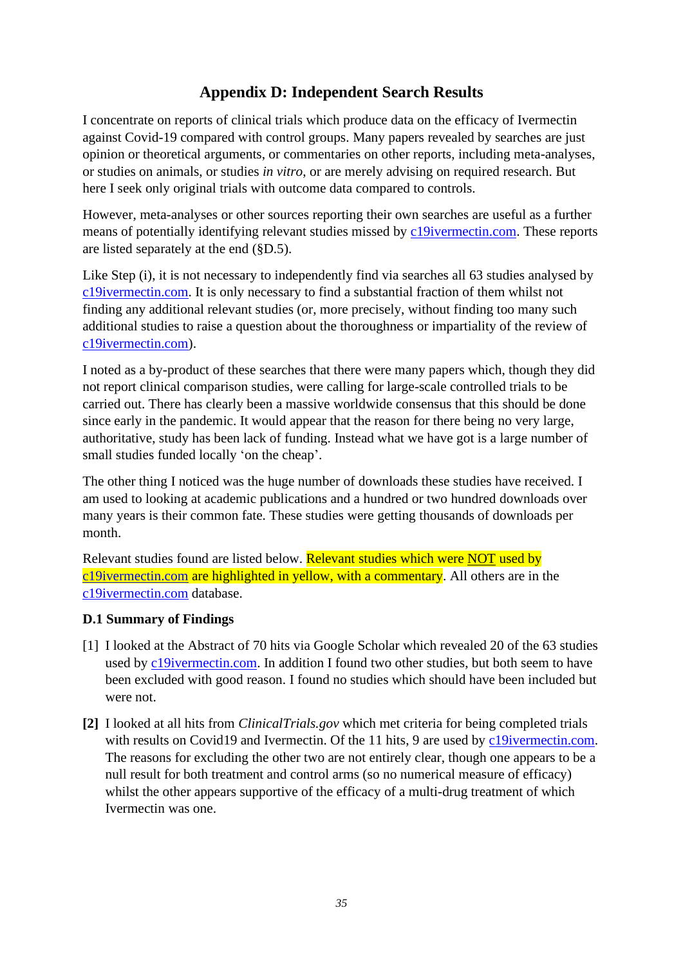### **Appendix D: Independent Search Results**

<span id="page-34-0"></span>I concentrate on reports of clinical trials which produce data on the efficacy of Ivermectin against Covid-19 compared with control groups. Many papers revealed by searches are just opinion or theoretical arguments, or commentaries on other reports, including meta-analyses, or studies on animals, or studies *in vitro*, or are merely advising on required research. But here I seek only original trials with outcome data compared to controls.

However, meta-analyses or other sources reporting their own searches are useful as a further means of potentially identifying relevant studies missed by [c19ivermectin.com.](https://c19ivermectin.com/) These reports are listed separately at the end (§D.5).

Like Step (i), it is not necessary to independently find via searches all 63 studies analysed by [c19ivermectin.com.](https://c19ivermectin.com/) It is only necessary to find a substantial fraction of them whilst not finding any additional relevant studies (or, more precisely, without finding too many such additional studies to raise a question about the thoroughness or impartiality of the review of [c19ivermectin.com\)](https://c19ivermectin.com/).

I noted as a by-product of these searches that there were many papers which, though they did not report clinical comparison studies, were calling for large-scale controlled trials to be carried out. There has clearly been a massive worldwide consensus that this should be done since early in the pandemic. It would appear that the reason for there being no very large, authoritative, study has been lack of funding. Instead what we have got is a large number of small studies funded locally 'on the cheap'.

The other thing I noticed was the huge number of downloads these studies have received. I am used to looking at academic publications and a hundred or two hundred downloads over many years is their common fate. These studies were getting thousands of downloads per month.

Relevant studies found are listed below. Relevant studies which were NOT used by [c19ivermectin.com](https://c19ivermectin.com/) are highlighted in yellow, with a commentary. All others are in the [c19ivermectin.com](https://c19ivermectin.com/) database.

#### <span id="page-34-1"></span>**D.1 Summary of Findings**

- [1] I looked at the Abstract of 70 hits via Google Scholar which revealed 20 of the 63 studies used by [c19ivermectin.com.](https://c19ivermectin.com/) In addition I found two other studies, but both seem to have been excluded with good reason. I found no studies which should have been included but were not.
- **[2]** I looked at all hits from *ClinicalTrials.gov* which met criteria for being completed trials with results on Covid19 and Ivermectin. Of the 11 hits, 9 are used by [c19ivermectin.com.](https://c19ivermectin.com/) The reasons for excluding the other two are not entirely clear, though one appears to be a null result for both treatment and control arms (so no numerical measure of efficacy) whilst the other appears supportive of the efficacy of a multi-drug treatment of which Ivermectin was one.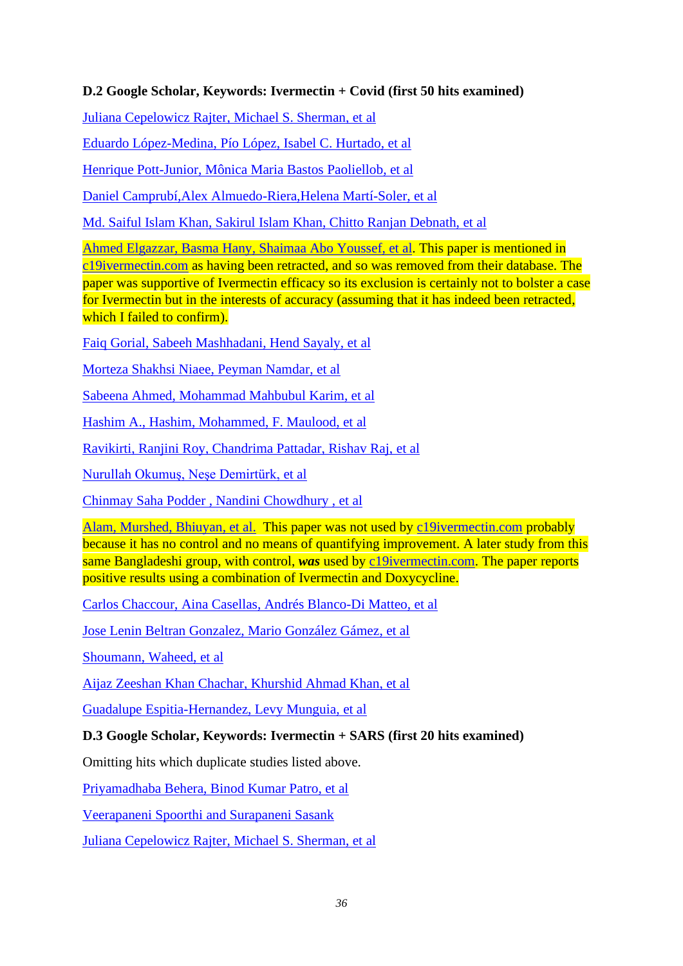#### <span id="page-35-0"></span>**D.2 Google Scholar, Keywords: Ivermectin + Covid (first 50 hits examined)**

[Juliana Cepelowicz Rajter, Michael S. Sherman, et al](https://papers.ssrn.com/sol3/papers.cfm?abstract_id=3631261)

[Eduardo López-Medina, Pío López, Isabel C. Hurtado,](https://jamanetwork.com/journals/jama/fullarticle/2777389/) et al

Henrique [Pott-Junior, Mônica Maria Bastos](https://www.sciencedirect.com/science/article/pii/S2214750021000445) Paoliellob, et al

[Daniel Camprubí,Alex Almuedo-Riera,Helena Martí-Soler, et al](https://journals.plos.org/plosone/article?id=10.1371/journal.pone.0242184)

Md. Saiful Islam Khan, Sakirul Islam Khan, [Chitto Ranjan Debnath,](https://www.ncbi.nlm.nih.gov/pmc/articles/PMC7837160/) et al

[Ahmed Elgazzar, Basma Hany, Shaimaa Abo Youssef, et al.](http://economedian.com/682247ca-ef49-4d68-aa3f-493a8fc9a056.pdf) This paper is mentioned in [c19ivermectin.com](https://c19ivermectin.com/) as having been retracted, and so was removed from their database. The paper was supportive of Ivermectin efficacy so its exclusion is certainly not to bolster a case for Ivermectin but in the interests of accuracy (assuming that it has indeed been retracted, which I failed to confirm).

Faiq [Gorial, Sabeeh Mashhadani, Hend Sayaly,](https://www.medrxiv.org/content/10.1101/2020.07.07.20145979v1) et al

[Morteza Shakhsi Niaee, Peyman Namdar, et al](https://www.apjtm.org/article.asp?issn=1995-7645;year=2021;volume=14;issue=6;spage=266;epage=273;aulast=Shakhsi)

Sabeena [Ahmed, Mohammad Mahbubul](https://www.sciencedirect.com/science/article/pii/S1201971220325066) Karim, et al

Hashim A., [Hashim, Mohammed,](https://www.medrxiv.org/content/10.1101/2020.10.26.20219345v1) F. Maulood, et al

[Ravikirti, Ranjini Roy, Chandrima Pattadar, Rishav Raj, et al](https://journals.library.ualberta.ca/jpps/index.php/JPPS/article/view/32105)

[Nurullah Okumuş, Neşe Demirtürk,](https://bmcinfectdis.biomedcentral.com/articles/10.1186/s12879-021-06104-9) et al

[Chinmay Saha Podder , Nandini Chowdhury ,](http://imcjms.com/registration/journal_abstract/353) et al

[Alam, Murshed, Bhiuyan, et al.](file:///C:/Users/Ricka/AppData/Local/Temp/MicrosoftEdgeDownloads/cb2f7ea7-b8a4-4cc5-8b2f-31dbe56f3376/34879.pdf) This paper was not used by [c19ivermectin.com](https://c19ivermectin.com/) probably because it has no control and no means of quantifying improvement. A later study from this same Bangladeshi group, with control, *was* used by [c19ivermectin.com.](https://c19ivermectin.com/) The paper reports positive results using a combination of Ivermectin and Doxycycline.

Carlos Chaccour, Aina Casellas, Andrés [Blanco-Di Matteo, et al](https://www.sciencedirect.com/science/article/pii/S2589537020304648)

[Jose Lenin Beltran Gonzalez, Mario González Gámez, et al](https://www.medrxiv.org/content/10.1101/2021.02.18.21252037v1)

[Shoumann, Waheed, et al](https://web.a.ebscohost.com/abstract?direct=true&profile=ehost&scope=site&authtype=crawler&jrnl=0973709X&AN=148789244&h=PVj1kZTyWxpsXW3%2fQ829DpZFSeTxrqCWLOnVbRls7njlDaoxzVUOpM019RiN4GCrebRA0ZRyhbjNeUxUTIMdlQ%3d%3d&crl=c&resultNs=AdminWebAuth&resultLocal=ErrCrlNotAuth&crlhashurl=login.aspx%3fdirect%3dtrue%26profile%3dehost%26scope%3dsite%26authtype%3dcrawler%26jrnl%3d0973709X%26AN%3d148789244)

[Aijaz Zeeshan Khan Chachar, Khurshid Ahmad Khan, et al](https://ideas.repec.org/a/adm/journl/v9y2020i9p31-35.html)

[Guadalupe Espitia-Hernandez, Levy Munguia,](https://www.researchgate.net/profile/Ramiro-Lopez-Elizalde/publication/346967671_Effects_of_Ivermectin-azithromycin-cholecalciferol_combined_therapy_on_COVID-19_infected_patients_A_proof_of_concept_study/links/5fd558df92851c13fe80f8fa/Effects-of-Ivermectin-azithromycin-cholecalciferol-combined-therapy-on-COVID-19-infected-patients-A-proof-of-concept-study.pdf) et al

#### <span id="page-35-1"></span>**D.3 Google Scholar, Keywords: Ivermectin + SARS (first 20 hits examined)**

Omitting hits which duplicate studies listed above.

[Priyamadhaba Behera,](https://journals.plos.org/plosone/article?id=10.1371/journal.pone.0247163&fbclid=IwAR3WlPlm8XAMu0uuw28_RAX6YzsPJKq74c3lX9qU8ITzplu8kFfKgjv0a5c) Binod Kumar Patro, et al

Veerapaneni Spoorthi [and Surapaneni Sasank](https://www.iaimjournal.com/wp-content/uploads/2020/10/iaim_2020_0710_23.pdf)

[Juliana Cepelowicz Rajter, Michael S. Sherman,](https://papers.ssrn.com/sol3/papers.cfm?abstract_id=3631261) et al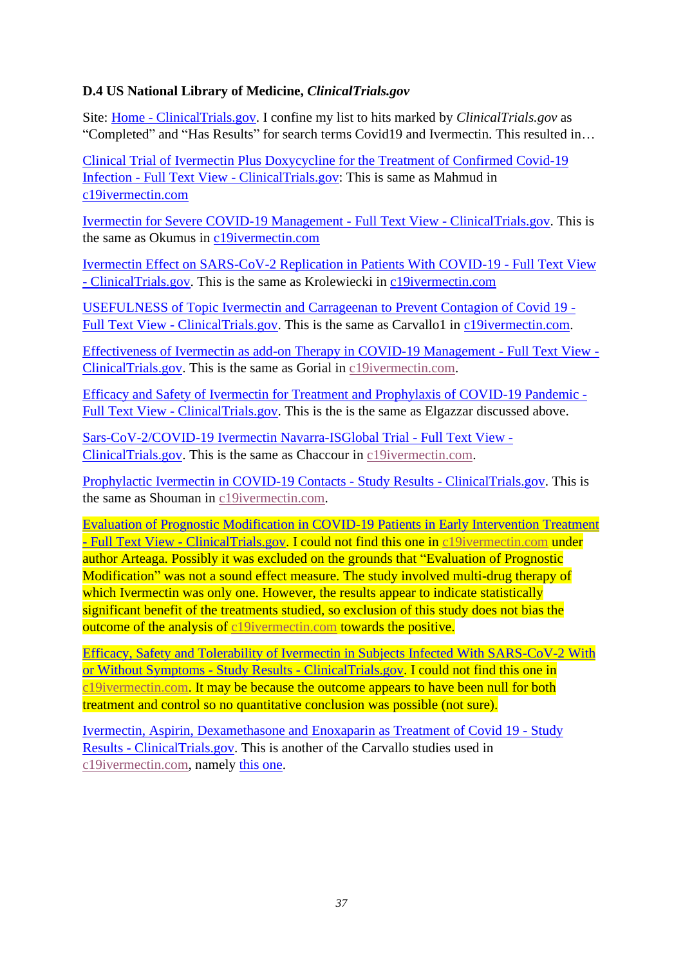#### <span id="page-36-0"></span>**D.4 US National Library of Medicine,** *ClinicalTrials.gov*

Site: Home - [ClinicalTrials.gov.](https://clinicaltrials.gov/) I confine my list to hits marked by *ClinicalTrials.gov* as "Completed" and "Has Results" for search terms Covid19 and Ivermectin. This resulted in…

[Clinical Trial of Ivermectin Plus Doxycycline for the Treatment of Confirmed Covid-19](https://clinicaltrials.gov/ct2/show/NCT04523831?term=Ivermectin&cond=Covid19&draw=2)  Infection - Full Text View - [ClinicalTrials.gov:](https://clinicaltrials.gov/ct2/show/NCT04523831?term=Ivermectin&cond=Covid19&draw=2) This is same as Mahmud in [c19ivermectin.com](https://c19ivermectin.com/)

[Ivermectin for Severe COVID-19 Management -](https://clinicaltrials.gov/ct2/show/NCT04646109?term=Ivermectin&cond=Covid19&draw=2&rank=5) Full Text View - ClinicalTrials.gov. This is the same as Okumus in [c19ivermectin.com](https://c19ivermectin.com/)

[Ivermectin Effect on SARS-CoV-2 Replication in Patients With COVID-19 -](https://clinicaltrials.gov/ct2/show/NCT04381884?term=Ivermectin&cond=Covid19&draw=2&rank=6) Full Text View - [ClinicalTrials.gov.](https://clinicaltrials.gov/ct2/show/NCT04381884?term=Ivermectin&cond=Covid19&draw=2&rank=6) This is the same as Krolewiecki in [c19ivermectin.com](https://c19ivermectin.com/)

[USEFULNESS of Topic Ivermectin and Carrageenan to Prevent Contagion of Covid 19 -](https://clinicaltrials.gov/ct2/show/NCT04425850?term=Ivermectin&cond=Covid19&draw=2) Full Text View - [ClinicalTrials.gov.](https://clinicaltrials.gov/ct2/show/NCT04425850?term=Ivermectin&cond=Covid19&draw=2) This is the same as Carvallo1 in [c19ivermectin.com.](https://c19ivermectin.com/)

[Effectiveness of Ivermectin as add-on Therapy in COVID-19 Management -](https://clinicaltrials.gov/ct2/show/NCT04343092?term=Ivermectin&cond=Covid19&draw=3&rank=16) Full Text View - [ClinicalTrials.gov.](https://clinicaltrials.gov/ct2/show/NCT04343092?term=Ivermectin&cond=Covid19&draw=3&rank=16) This is the same as Gorial in [c19ivermectin.com.](https://c19ivermectin.com/)

[Efficacy and Safety of Ivermectin for Treatment and Prophylaxis of COVID-19 Pandemic -](https://clinicaltrials.gov/ct2/show/NCT04668469?term=Ivermectin&cond=Covid19&draw=4&rank=22) Full Text View - [ClinicalTrials.gov.](https://clinicaltrials.gov/ct2/show/NCT04668469?term=Ivermectin&cond=Covid19&draw=4&rank=22) This is the is the same as Elgazzar discussed above.

[Sars-CoV-2/COVID-19 Ivermectin Navarra-ISGlobal Trial -](https://clinicaltrials.gov/ct2/show/NCT04390022?term=Ivermectin&cond=Covid19&draw=6&rank=41) Full Text View - [ClinicalTrials.gov.](https://clinicaltrials.gov/ct2/show/NCT04390022?term=Ivermectin&cond=Covid19&draw=6&rank=41) This is the same as Chaccour in [c19ivermectin.com.](https://c19ivermectin.com/)

[Prophylactic Ivermectin in COVID-19 Contacts -](https://clinicaltrials.gov/ct2/show/results/NCT04422561?term=Ivermectin&cond=Covid19&draw=6&rank=43) Study Results - ClinicalTrials.gov. This is the same as Shouman in [c19ivermectin.com.](https://c19ivermectin.com/)

[Evaluation of Prognostic Modification in COVID-19 Patients in Early Intervention Treatment](https://clinicaltrials.gov/ct2/show/study/NCT04673214?term=Ivermectin&cond=Covid19&draw=6&rank=45)  - Full Text View - [ClinicalTrials.gov.](https://clinicaltrials.gov/ct2/show/study/NCT04673214?term=Ivermectin&cond=Covid19&draw=6&rank=45) I could not find this one in [c19ivermectin.com](https://c19ivermectin.com/) under author Arteaga. Possibly it was excluded on the grounds that "Evaluation of Prognostic Modification" was not a sound effect measure. The study involved multi-drug therapy of which Ivermectin was only one. However, the results appear to indicate statistically significant benefit of the treatments studied, so exclusion of this study does not bias the outcome of the analysis of [c19ivermectin.com](https://c19ivermectin.com/) towards the positive.

[Efficacy, Safety and Tolerability of Ivermectin in Subjects Infected With SARS-CoV-2 With](https://clinicaltrials.gov/ct2/show/results/NCT04407507?term=Ivermectin&cond=Covid19&draw=7)  [or Without Symptoms -](https://clinicaltrials.gov/ct2/show/results/NCT04407507?term=Ivermectin&cond=Covid19&draw=7) Study Results - ClinicalTrials.gov. I could not find this one in [c19ivermectin.com.](https://c19ivermectin.com/) It may be because the outcome appears to have been null for both treatment and control so no quantitative conclusion was possible (not sure).

[Ivermectin, Aspirin, Dexamethasone and Enoxaparin as Treatment of Covid 19 -](https://clinicaltrials.gov/ct2/show/results/NCT04425863?term=Ivermectin&cond=Covid19&draw=8&rank=62) Study Results - [ClinicalTrials.gov.](https://clinicaltrials.gov/ct2/show/results/NCT04425863?term=Ivermectin&cond=Covid19&draw=8&rank=62) This is another of the Carvallo studies used in [c19ivermectin.com,](https://c19ivermectin.com/) namely [this one.](https://c19ivermectin.com/carvallo.html)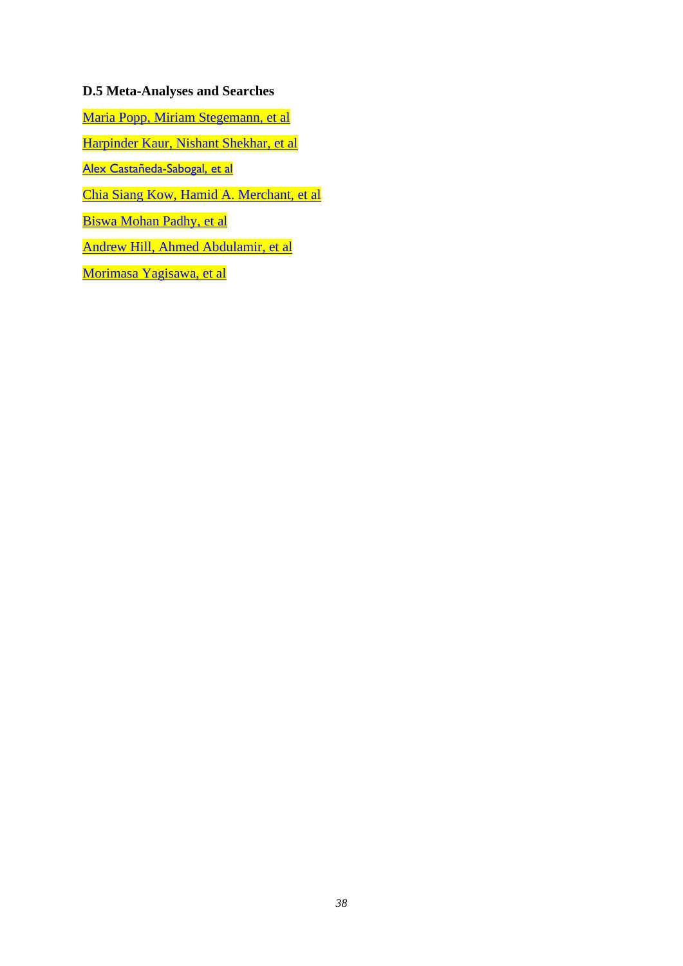#### <span id="page-37-0"></span>**D.5 Meta-Analyses and Searches**

[Maria Popp, Miriam Stegemann, et al](https://www.cochranelibrary.com/cdsr/doi/10.1002/14651858.CD015017.pub2/full) 

[Harpinder Kaur, Nishant Shekhar, et al](https://link.springer.com/article/10.1007/s43440-020-00195-y)

Alex [Castañeda-Sabogal,](https://www.medrxiv.org/content/10.1101/2021.01.26.21250420v1) et al

Chia Siang [Kow, Hamid A. Merchant, et al](https://link.springer.com/article/10.1007/s43440-021-00245-z)

[Biswa Mohan Padhy, et al](https://journals.library.ualberta.ca/jpps/index.php/JPPS/article/view/31457)

[Andrew Hill, Ahmed Abdulamir, et al](https://www.researchsquare.com/article/rs-148845/v1)

[Morimasa Yagisawa,](https://www.psychoactif.org/forum/uploads/documents/161/74-1_44-95.pdf) et al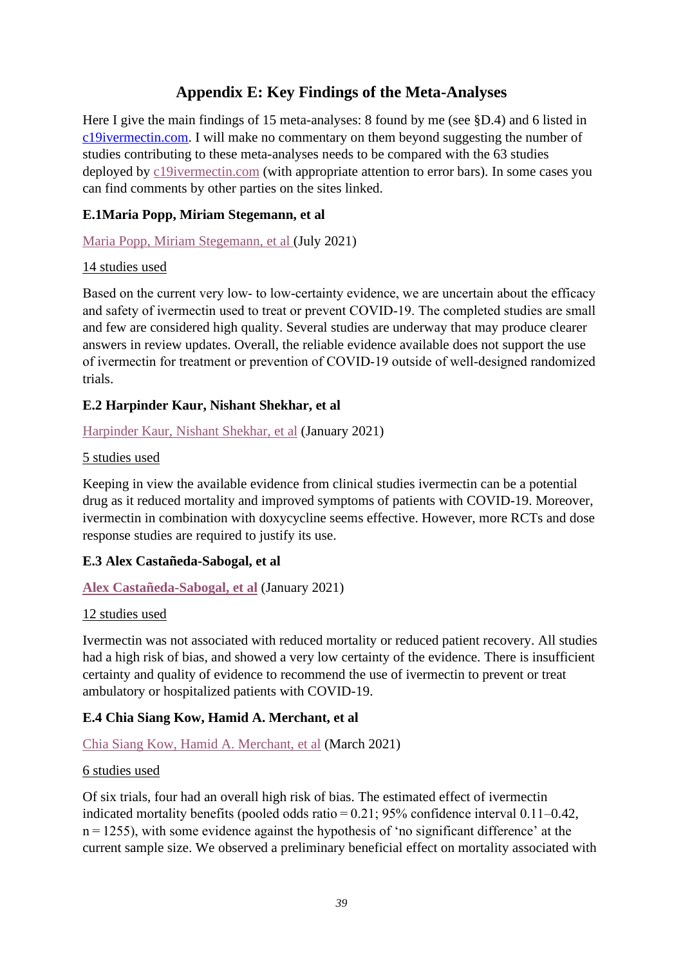### **Appendix E: Key Findings of the Meta-Analyses**

<span id="page-38-0"></span>Here I give the main findings of 15 meta-analyses: 8 found by me (see §D.4) and 6 listed in [c19ivermectin.com.](https://c19ivermectin.com/) I will make no commentary on them beyond suggesting the number of studies contributing to these meta-analyses needs to be compared with the 63 studies deployed by [c19ivermectin.com](https://c19ivermectin.com/) (with appropriate attention to error bars). In some cases you can find comments by other parties on the sites linked.

#### <span id="page-38-1"></span>**E.1Maria Popp, Miriam Stegemann, et al**

#### [Maria Popp, Miriam Stegemann, et al \(](https://www.cochranelibrary.com/cdsr/doi/10.1002/14651858.CD015017.pub2/full)July 2021)

#### 14 studies used

Based on the current very low- to low-certainty evidence, we are uncertain about the efficacy and safety of ivermectin used to treat or prevent COVID‐19. The completed studies are small and few are considered high quality. Several studies are underway that may produce clearer answers in review updates. Overall, the reliable evidence available does not support the use of ivermectin for treatment or prevention of COVID‐19 outside of well‐designed randomized trials.

#### <span id="page-38-2"></span>**E.2 Harpinder Kaur, Nishant Shekhar, et al**

#### [Harpinder Kaur, Nishant Shekhar, et al](https://link.springer.com/article/10.1007/s43440-020-00195-y) (January 2021)

#### 5 studies used

Keeping in view the available evidence from clinical studies ivermectin can be a potential drug as it reduced mortality and improved symptoms of patients with COVID-19. Moreover, ivermectin in combination with doxycycline seems effective. However, more RCTs and dose response studies are required to justify its use.

#### <span id="page-38-3"></span>**E.3 Alex Castañeda-Sabogal, et al**

#### **Alex [Castañeda-Sabogal,](https://www.medrxiv.org/content/10.1101/2021.01.26.21250420v1) et al** (January 2021)

#### 12 studies used

Ivermectin was not associated with reduced mortality or reduced patient recovery. All studies had a high risk of bias, and showed a very low certainty of the evidence. There is insufficient certainty and quality of evidence to recommend the use of ivermectin to prevent or treat ambulatory or hospitalized patients with COVID-19.

#### <span id="page-38-4"></span>**E.4 Chia Siang Kow, Hamid A. Merchant, et al**

#### Chia Siang [Kow, Hamid A. Merchant, et al](https://link.springer.com/article/10.1007/s43440-021-00245-z) (March 2021)

#### 6 studies used

Of six trials, four had an overall high risk of bias. The estimated effect of ivermectin indicated mortality benefits (pooled odds ratio $= 0.21$ ; 95% confidence interval 0.11–0.42, n = 1255), with some evidence against the hypothesis of 'no significant difference' at the current sample size. We observed a preliminary beneficial effect on mortality associated with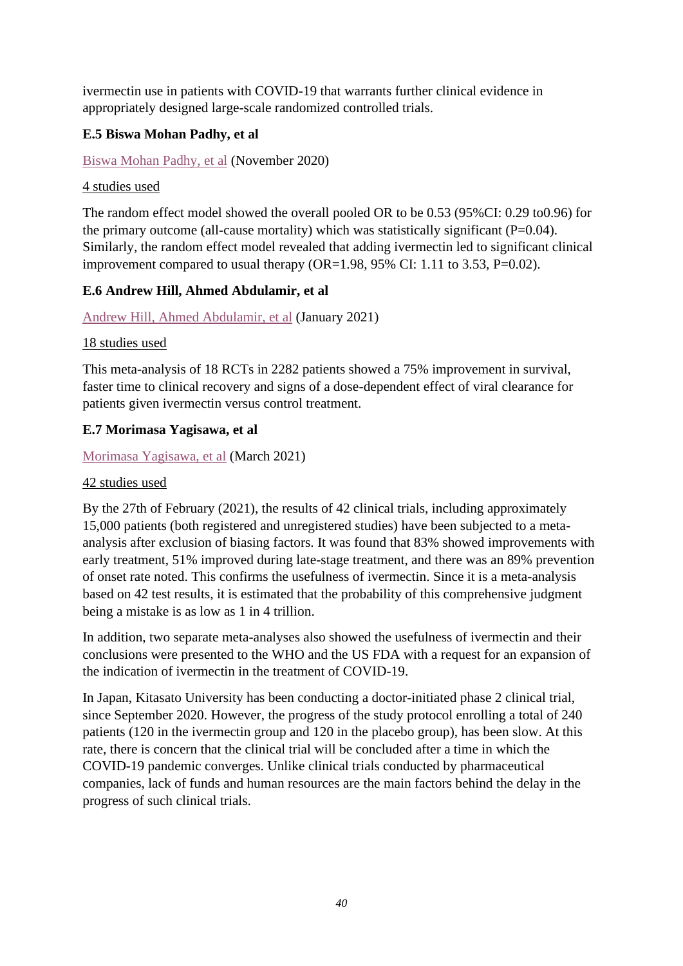ivermectin use in patients with COVID-19 that warrants further clinical evidence in appropriately designed large-scale randomized controlled trials.

#### <span id="page-39-0"></span>**E.5 Biswa Mohan Padhy, et al**

#### [Biswa Mohan Padhy, et al](https://journals.library.ualberta.ca/jpps/index.php/JPPS/article/view/31457) (November 2020)

#### 4 studies used

The random effect model showed the overall pooled OR to be 0.53 (95%CI: 0.29 to0.96) for the primary outcome (all-cause mortality) which was statistically significant  $(P=0.04)$ . Similarly, the random effect model revealed that adding ivermectin led to significant clinical improvement compared to usual therapy (OR=1.98, 95% CI: 1.11 to 3.53, P=0.02).

#### <span id="page-39-1"></span>**E.6 Andrew Hill, Ahmed Abdulamir, et al**

[Andrew Hill, Ahmed Abdulamir, et al](https://www.researchsquare.com/article/rs-148845/v1) (January 2021)

#### 18 studies used

This meta-analysis of 18 RCTs in 2282 patients showed a 75% improvement in survival, faster time to clinical recovery and signs of a dose-dependent effect of viral clearance for patients given ivermectin versus control treatment.

#### <span id="page-39-2"></span>**E.7 Morimasa Yagisawa, et al**

#### [Morimasa Yagisawa,](https://www.psychoactif.org/forum/uploads/documents/161/74-1_44-95.pdf) et al (March 2021)

#### 42 studies used

By the 27th of February (2021), the results of 42 clinical trials, including approximately 15,000 patients (both registered and unregistered studies) have been subjected to a metaanalysis after exclusion of biasing factors. It was found that 83% showed improvements with early treatment, 51% improved during late-stage treatment, and there was an 89% prevention of onset rate noted. This confirms the usefulness of ivermectin. Since it is a meta-analysis based on 42 test results, it is estimated that the probability of this comprehensive judgment being a mistake is as low as 1 in 4 trillion.

In addition, two separate meta-analyses also showed the usefulness of ivermectin and their conclusions were presented to the WHO and the US FDA with a request for an expansion of the indication of ivermectin in the treatment of COVID-19.

In Japan, Kitasato University has been conducting a doctor-initiated phase 2 clinical trial, since September 2020. However, the progress of the study protocol enrolling a total of 240 patients (120 in the ivermectin group and 120 in the placebo group), has been slow. At this rate, there is concern that the clinical trial will be concluded after a time in which the COVID-19 pandemic converges. Unlike clinical trials conducted by pharmaceutical companies, lack of funds and human resources are the main factors behind the delay in the progress of such clinical trials.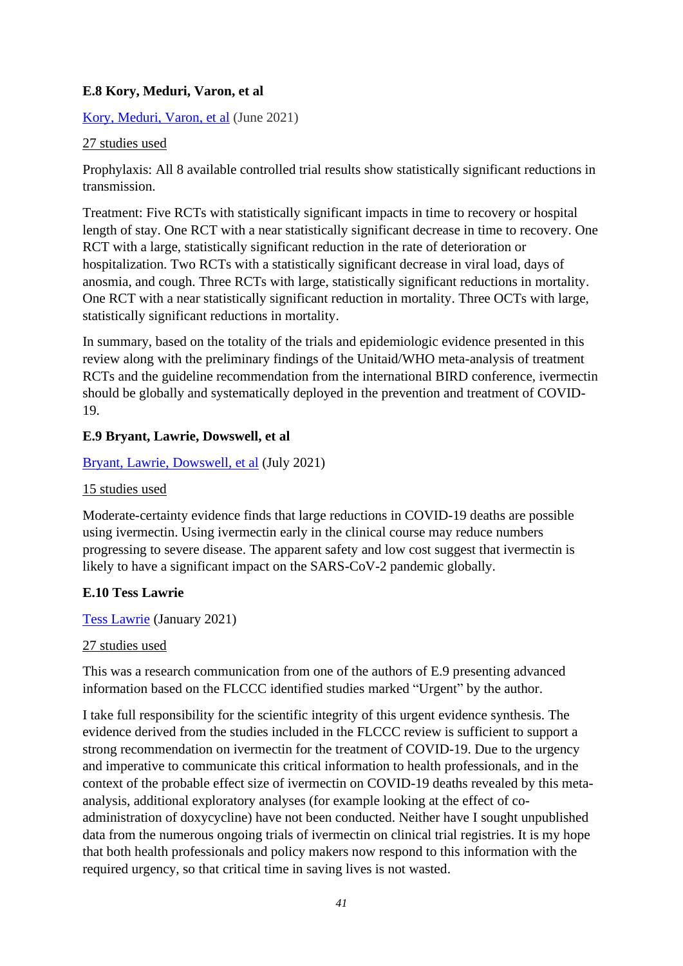#### <span id="page-40-0"></span>**E.8 Kory, Meduri, Varon, et al**

#### [Kory, Meduri, Varon, et al](https://journals.lww.com/americantherapeutics/Fulltext/2021/06000/Review_of_the_Emerging_Evidence_Demonstrating_the.4.aspx) (June 2021)

#### 27 studies used

Prophylaxis: All 8 available controlled trial results show statistically significant reductions in transmission.

Treatment: Five RCTs with statistically significant impacts in time to recovery or hospital length of stay. One RCT with a near statistically significant decrease in time to recovery. One RCT with a large, statistically significant reduction in the rate of deterioration or hospitalization. Two RCTs with a statistically significant decrease in viral load, days of anosmia, and cough. Three RCTs with large, statistically significant reductions in mortality. One RCT with a near statistically significant reduction in mortality. Three OCTs with large, statistically significant reductions in mortality.

In summary, based on the totality of the trials and epidemiologic evidence presented in this review along with the preliminary findings of the Unitaid/WHO meta-analysis of treatment RCTs and the guideline recommendation from the international BIRD conference, ivermectin should be globally and systematically deployed in the prevention and treatment of COVID-19.

#### <span id="page-40-1"></span>**E.9 Bryant, Lawrie, Dowswell, et al**

#### [Bryant, Lawrie, Dowswell, et al](https://journals.lww.com/americantherapeutics/Fulltext/2021/08000/Ivermectin_for_Prevention_and_Treatment_of.7.aspx) (July 2021)

#### 15 studies used

Moderate-certainty evidence finds that large reductions in COVID-19 deaths are possible using ivermectin. Using ivermectin early in the clinical course may reduce numbers progressing to severe disease. The apparent safety and low cost suggest that ivermectin is likely to have a significant impact on the SARS-CoV-2 pandemic globally.

#### <span id="page-40-2"></span>**E.10 Tess Lawrie**

[Tess Lawrie](https://b3d2650e-e929-4448-a527-4eeb59304c7f.filesusr.com/ugd/593c4f_8cb655bd21b1448ba6cf1f4c59f0d73d.pdf) (January 2021)

#### 27 studies used

This was a research communication from one of the authors of E.9 presenting advanced information based on the FLCCC identified studies marked "Urgent" by the author.

I take full responsibility for the scientific integrity of this urgent evidence synthesis. The evidence derived from the studies included in the FLCCC review is sufficient to support a strong recommendation on ivermectin for the treatment of COVID-19. Due to the urgency and imperative to communicate this critical information to health professionals, and in the context of the probable effect size of ivermectin on COVID-19 deaths revealed by this metaanalysis, additional exploratory analyses (for example looking at the effect of coadministration of doxycycline) have not been conducted. Neither have I sought unpublished data from the numerous ongoing trials of ivermectin on clinical trial registries. It is my hope that both health professionals and policy makers now respond to this information with the required urgency, so that critical time in saving lives is not wasted.